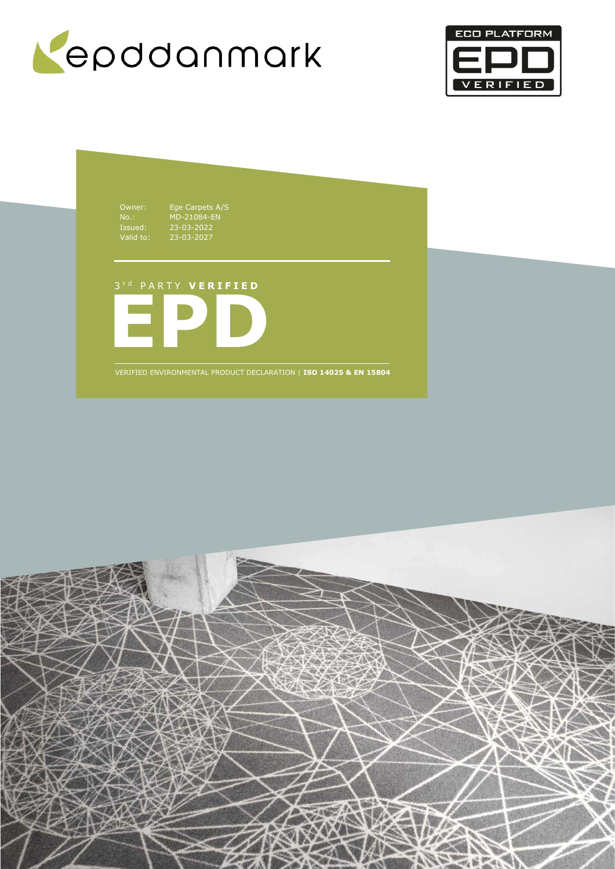



Owner: Ege Carpets A/S No.: MD-21084-EN Issued: 23-03-2022 Valid to: 23-03-2027

**EPD** 3 r d P A R T Y **V E R I F I E D**

VERIFIED ENVIRONMENTAL PRODUCT DECLARATION | **ISO 14025 & EN 15804**

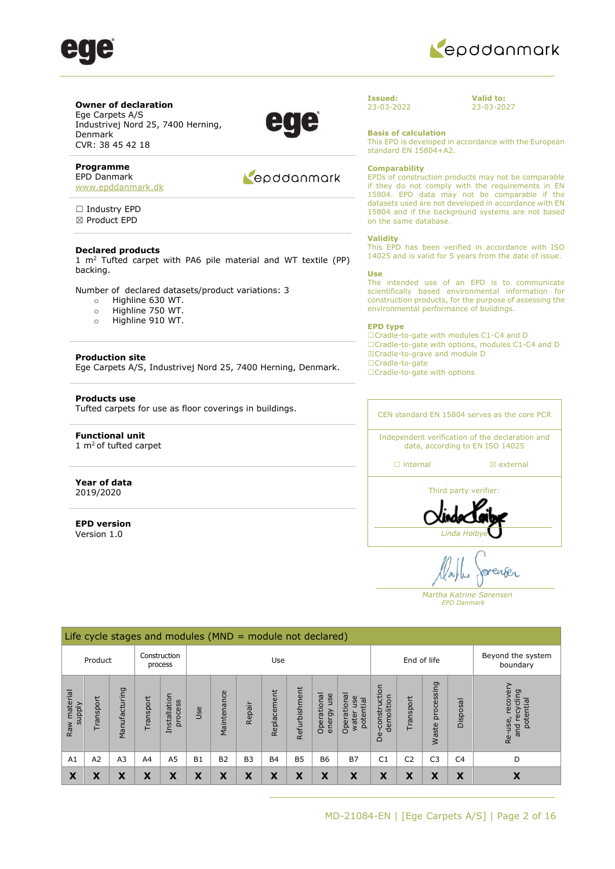



### **Owner of declaration**

Ege Carpets A/S Industrivej Nord 25, 7400 Herning, Denmark CVR: 38 45 42 18

### **Programme**

EPD Danmark [www.epddanmark.dk](http://www.epddanmark.dk/)

□ Industry EPD ☒ Product EPD

### **Declared products**

1  $m<sup>2</sup>$  Tufted carpet with PA6 pile material and WT textile (PP) backing.

Number of declared datasets/product variations: 3

- o Highline 630 WT.
- o Highline 750 WT.
- o Highline 910 WT.

### **Production site**

Ege Carpets A/S, Industrivej Nord 25, 7400 Herning, Denmark.

### **Products use**

Tufted carpets for use as floor coverings in buildings.

### **Functional unit**   $1 \text{ m}^2$  of tufted carpet

### **Year of data** 2019/2020

**EPD version**  Version 1.0

### Repodanmark

#### **Issued:**  23-03-2022

**Valid to:**  23-03-2027

**Basis of calculation**

This EPD is developed in accordance with the European standard EN 15804+A2.

#### **Comparability**

EPDs of construction products may not be comparable if they do not comply with the requirements in EN 15804. EPD data may not be comparable if the datasets used are not developed in accordance with EN 15804 and if the background systems are not based on the same database.

#### **Validity**

This EPD has been verified in accordance with ISO 14025 and is valid for 5 years from the date of issue.

#### **Use**

The intended use of an EPD is to communicate scientifically based environmental information for construction products, for the purpose of assessing the environmental performance of buildings.

#### **EPD type**

☐Cradle-to-gate with modules C1-C4 and D ☐Cradle-to-gate with options, modules C1-C4 and D ☒Cradle-to-grave and module D ☐Cradle-to-gate ☐Cradle-to-gate with options

CEN standard EN 15804 serves as the core PCR

Independent verification of the declaration and data, according to EN ISO 14025

☐ internal ☒ external

Third party verifier: *Linda Høib* 

enses

 *Martha Katrine Sørensen EPD Danmark*

|                        |           |                       |                | Life cycle stages and modules ( $MND =$ module not declared) |           |             |                |             |               |                              |                                          |                                         |                |                     |                |                                                          |
|------------------------|-----------|-----------------------|----------------|--------------------------------------------------------------|-----------|-------------|----------------|-------------|---------------|------------------------------|------------------------------------------|-----------------------------------------|----------------|---------------------|----------------|----------------------------------------------------------|
|                        | Product   |                       |                | Construction<br>process                                      |           |             |                | Use         |               |                              |                                          |                                         | End of life    |                     |                | Beyond the system<br>boundary                            |
| Raw material<br>supply | Transport | Σū<br>cturi<br>Manufa | Transport      | Installation<br>process                                      | Use       | Maintenance | Repair         | Replacement | Refurbishment | Operational<br>use<br>energy | Operational<br>use<br>potential<br>water | construction<br>demolition<br><b>De</b> | Transport      | processing<br>Waste | Disposal       | recover<br>rcling<br>potential<br>recy<br>Re-use,<br>and |
| A <sub>1</sub>         | A2        | A <sub>3</sub>        | A <sub>4</sub> | A <sub>5</sub>                                               | <b>B1</b> | <b>B2</b>   | B <sub>3</sub> | <b>B4</b>   | <b>B5</b>     | <b>B6</b>                    | <b>B7</b>                                | C <sub>1</sub>                          | C <sub>2</sub> | C <sub>3</sub>      | C <sub>4</sub> | D                                                        |
| X                      | χ         | X                     | X              | X                                                            | X         | X           | X              | X           | X             | X                            | X                                        | X                                       | X              | X                   | X              | х                                                        |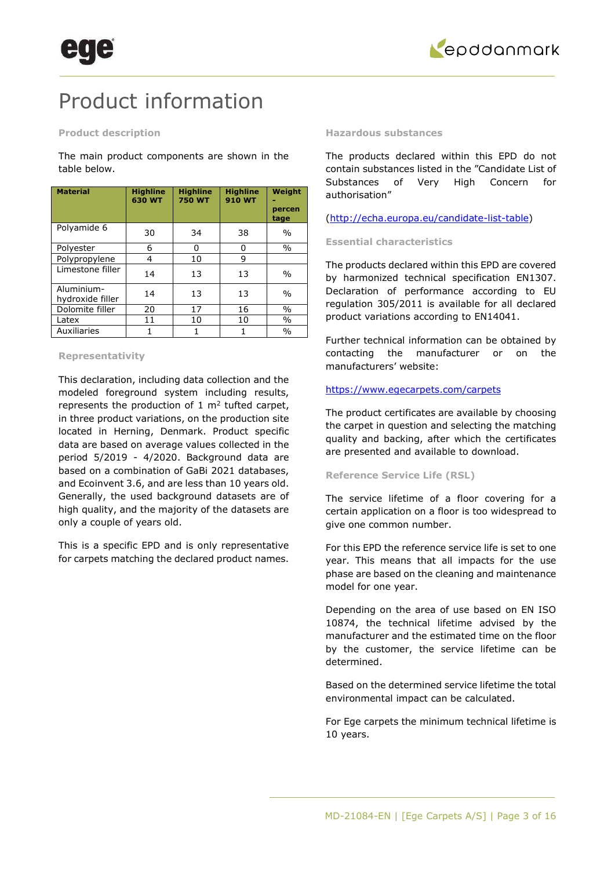

## Product information

### **Product description**

The main product components are shown in the table below.

| <b>Material</b>                | <b>Highline</b><br>630 WT | <b>Highline</b><br><b>750 WT</b> | <b>Highline</b><br><b>910 WT</b> | Weight<br>percen<br>tage |
|--------------------------------|---------------------------|----------------------------------|----------------------------------|--------------------------|
| Polyamide 6                    | 30                        | 34                               | 38                               | $\frac{0}{0}$            |
| Polyester                      | 6                         | 0                                | O                                | $\frac{0}{0}$            |
| Polypropylene                  | 4                         | 10                               | 9                                |                          |
| Limestone filler               | 14                        | 13                               | 13                               | $\frac{0}{0}$            |
| Aluminium-<br>hydroxide filler | 14                        | 13                               | 13                               | $\frac{0}{0}$            |
| Dolomite filler                | 20                        | 17                               | 16                               | $\%$                     |
| Latex                          | 11                        | 10                               | 10                               | $\%$                     |
| Auxiliaries                    | 1                         | 1                                |                                  | $\frac{0}{0}$            |

### **Representativity**

This declaration, including data collection and the modeled foreground system including results, represents the production of  $1 \text{ m}^2$  tufted carpet, in three product variations, on the production site located in Herning, Denmark. Product specific data are based on average values collected in the period 5/2019 - 4/2020. Background data are based on a combination of GaBi 2021 databases, and Ecoinvent 3.6, and are less than 10 years old. Generally, the used background datasets are of high quality, and the majority of the datasets are only a couple of years old.

This is a specific EPD and is only representative for carpets matching the declared product names.

### **Hazardous substances**

The products declared within this EPD do not contain substances listed in the "Candidate List of Substances of Very High Concern for authorisation"

[\(http://echa.europa.eu/candidate-list-table\)](http://echa.europa.eu/candidate-list-table)

### **Essential characteristics**

The products declared within this EPD are covered by harmonized technical specification EN1307. Declaration of performance according to EU regulation 305/2011 is available for all declared product variations according to EN14041.

Further technical information can be obtained by contacting the manufacturer or on the manufacturers' website:

### <https://www.egecarpets.com/carpets>

The product certificates are available by choosing the carpet in question and selecting the matching quality and backing, after which the certificates are presented and available to download.

### **Reference Service Life (RSL)**

The service lifetime of a floor covering for a certain application on a floor is too widespread to give one common number.

For this EPD the reference service life is set to one year. This means that all impacts for the use phase are based on the cleaning and maintenance model for one year.

Depending on the area of use based on EN ISO 10874, the technical lifetime advised by the manufacturer and the estimated time on the floor by the customer, the service lifetime can be determined.

Based on the determined service lifetime the total environmental impact can be calculated.

For Ege carpets the minimum technical lifetime is 10 years.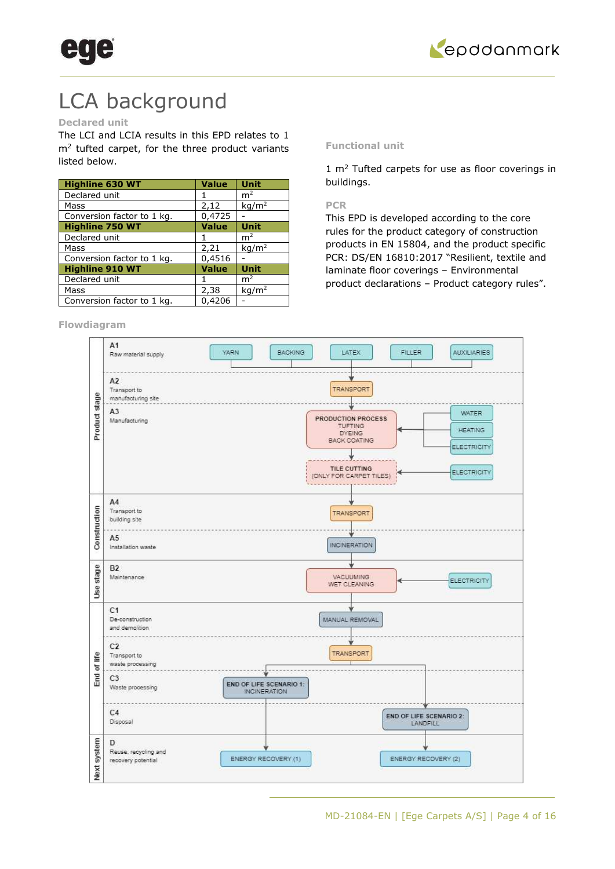



## LCA background

### **Declared unit**

The LCI and LCIA results in this EPD relates to 1  $m<sup>2</sup>$  tufted carpet, for the three product variants listed below.

| <b>Highline 630 WT</b>     | <b>Value</b> | <b>Unit</b>                       |
|----------------------------|--------------|-----------------------------------|
| Declared unit              |              | m <sup>2</sup>                    |
| Mass                       | 2,12         | $\overline{\text{kg}}/\text{m}^2$ |
| Conversion factor to 1 kg. | 0,4725       |                                   |
| <b>Highline 750 WT</b>     | <b>Value</b> | Unit                              |
| Declared unit              |              | m <sup>2</sup>                    |
| Mass                       | 2,21         | kq/m <sup>2</sup>                 |
| Conversion factor to 1 kg. | 0,4516       |                                   |
| <b>Highline 910 WT</b>     | <b>Value</b> | <b>Unit</b>                       |
| Declared unit              |              | m <sup>2</sup>                    |
| Mass                       | 2,38         | kg/m <sup>2</sup>                 |
| Conversion factor to 1 kg. | 0,4206       |                                   |

### **Flowdiagram**

### **Functional unit**

 $1 \text{ m}^2$  Tufted carpets for use as floor coverings in buildings.

### **PCR**

This EPD is developed according to the core rules for the product category of construction products in EN 15804, and the product specific PCR: DS/EN 16810:2017 "Resilient, textile and laminate floor coverings – Environmental product declarations – Product category rules".

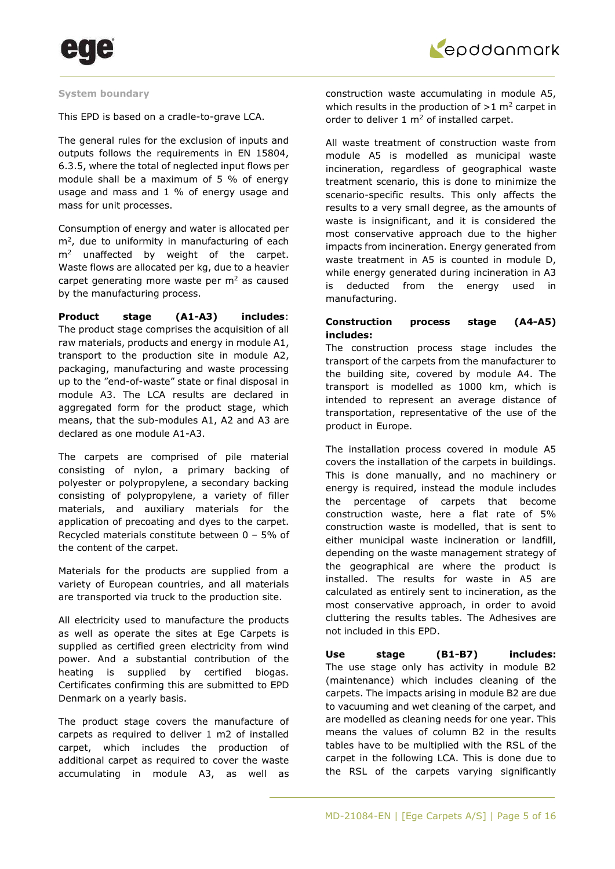

### **System boundary**

This EPD is based on a cradle-to-grave LCA.

The general rules for the exclusion of inputs and outputs follows the requirements in EN 15804, 6.3.5, where the total of neglected input flows per module shall be a maximum of 5 % of energy usage and mass and 1 % of energy usage and mass for unit processes.

Consumption of energy and water is allocated per  $m<sup>2</sup>$ , due to uniformity in manufacturing of each  $m<sup>2</sup>$  unaffected by weight of the carpet. Waste flows are allocated per kg, due to a heavier carpet generating more waste per  $m<sup>2</sup>$  as caused by the manufacturing process.

**Product stage (A1-A3) includes**: The product stage comprises the acquisition of all raw materials, products and energy in module A1, transport to the production site in module A2, packaging, manufacturing and waste processing up to the "end-of-waste" state or final disposal in module A3. The LCA results are declared in aggregated form for the product stage, which means, that the sub-modules A1, A2 and A3 are declared as one module A1-A3.

The carpets are comprised of pile material consisting of nylon, a primary backing of polyester or polypropylene, a secondary backing consisting of polypropylene, a variety of filler materials, and auxiliary materials for the application of precoating and dyes to the carpet. Recycled materials constitute between 0 – 5% of the content of the carpet.

Materials for the products are supplied from a variety of European countries, and all materials are transported via truck to the production site.

All electricity used to manufacture the products as well as operate the sites at Ege Carpets is supplied as certified green electricity from wind power. And a substantial contribution of the heating is supplied by certified biogas. Certificates confirming this are submitted to EPD Denmark on a yearly basis.

The product stage covers the manufacture of carpets as required to deliver 1 m2 of installed carpet, which includes the production of additional carpet as required to cover the waste accumulating in module A3, as well as construction waste accumulating in module A5, which results in the production of  $>1$  m<sup>2</sup> carpet in order to deliver  $1 \text{ m}^2$  of installed carpet.

All waste treatment of construction waste from module A5 is modelled as municipal waste incineration, regardless of geographical waste treatment scenario, this is done to minimize the scenario-specific results. This only affects the results to a very small degree, as the amounts of waste is insignificant, and it is considered the most conservative approach due to the higher impacts from incineration. Energy generated from waste treatment in A5 is counted in module D, while energy generated during incineration in A3 is deducted from the energy used in manufacturing.

### **Construction process stage (A4-A5) includes:**

The construction process stage includes the transport of the carpets from the manufacturer to the building site, covered by module A4. The transport is modelled as 1000 km, which is intended to represent an average distance of transportation, representative of the use of the product in Europe.

The installation process covered in module A5 covers the installation of the carpets in buildings. This is done manually, and no machinery or energy is required, instead the module includes the percentage of carpets that become construction waste, here a flat rate of 5% construction waste is modelled, that is sent to either municipal waste incineration or landfill, depending on the waste management strategy of the geographical are where the product is installed. The results for waste in A5 are calculated as entirely sent to incineration, as the most conservative approach, in order to avoid cluttering the results tables. The Adhesives are not included in this EPD.

**Use stage (B1-B7) includes:** The use stage only has activity in module B2 (maintenance) which includes cleaning of the carpets. The impacts arising in module B2 are due to vacuuming and wet cleaning of the carpet, and are modelled as cleaning needs for one year. This means the values of column B2 in the results tables have to be multiplied with the RSL of the carpet in the following LCA. This is done due to the RSL of the carpets varying significantly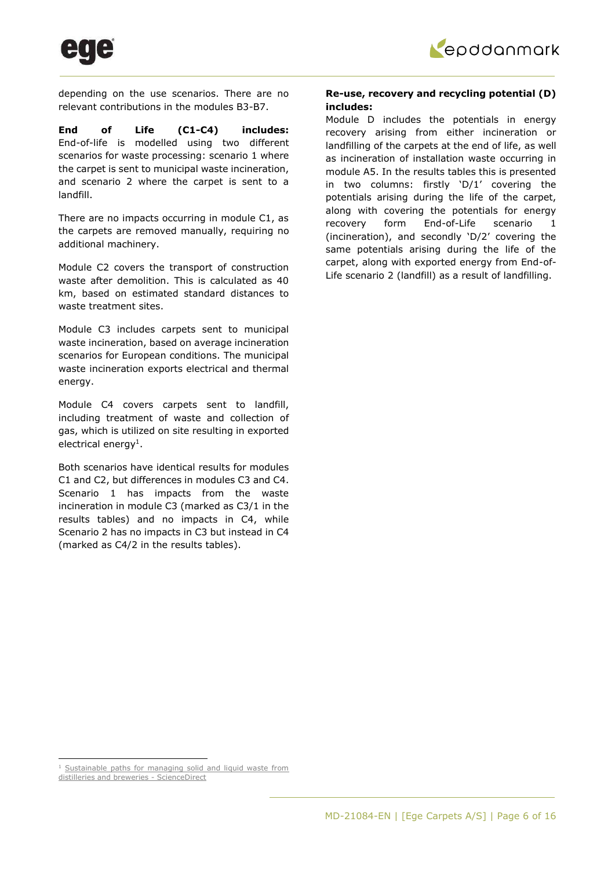

depending on the use scenarios. There are no relevant contributions in the modules B3-B7.

**End of Life (C1-C4) includes:**  End-of-life is modelled using two different scenarios for waste processing: scenario 1 where the carpet is sent to municipal waste incineration, and scenario 2 where the carpet is sent to a landfill.

There are no impacts occurring in module C1, as the carpets are removed manually, requiring no additional machinery.

Module C2 covers the transport of construction waste after demolition. This is calculated as 40 km, based on estimated standard distances to waste treatment sites.

Module C3 includes carpets sent to municipal waste incineration, based on average incineration scenarios for European conditions. The municipal waste incineration exports electrical and thermal energy.

Module C4 covers carpets sent to landfill, including treatment of waste and collection of gas, which is utilized on site resulting in exported electrical energy<sup>1</sup>.

Both scenarios have identical results for modules C1 and C2, but differences in modules C3 and C4. Scenario 1 has impacts from the waste incineration in module C3 (marked as C3/1 in the results tables) and no impacts in C4, while Scenario 2 has no impacts in C3 but instead in C4 (marked as C4/2 in the results tables).

### **Re-use, recovery and recycling potential (D) includes:**

Module D includes the potentials in energy recovery arising from either incineration or landfilling of the carpets at the end of life, as well as incineration of installation waste occurring in module A5. In the results tables this is presented in two columns: firstly 'D/1' covering the potentials arising during the life of the carpet, along with covering the potentials for energy recovery form End-of-Life scenario 1 (incineration), and secondly 'D/2' covering the same potentials arising during the life of the carpet, along with exported energy from End-of-Life scenario 2 (landfill) as a result of landfilling.

<sup>&</sup>lt;sup>1</sup> Sustainable paths for managing solid and liquid waste from

[distilleries and breweries - ScienceDirect](https://www.sciencedirect.com/science/article/pii/S0959652617302688#!)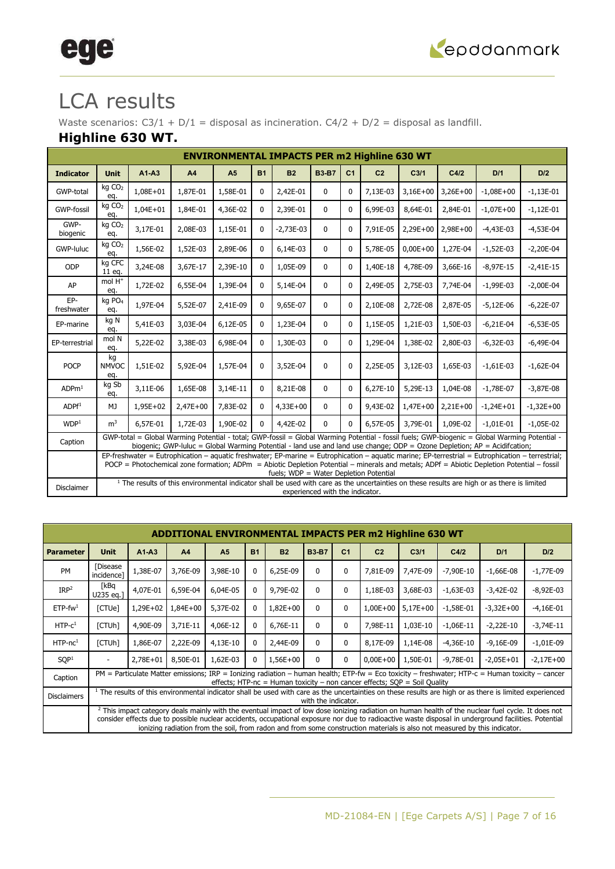

# ege

## LCA results

Waste scenarios:  $C3/1 + D/1 =$  disposal as incineration.  $C4/2 + D/2 =$  disposal as landfill.

### **Highline 630 WT.**

| <b>ENVIRONMENTAL IMPACTS PER m2 Highline 630 WT</b><br>$A1-A3$<br><b>B3-B7</b><br><b>Unit</b><br>A4<br>A <sub>5</sub><br><b>B1</b><br><b>B2</b><br>C <sub>1</sub><br>C <sub>2</sub><br>C <sub>3/1</sub><br>C4/2<br>D/1<br>D/2<br><b>Indicator</b><br>kg CO <sub>2</sub><br>$1,08E + 01$<br>1,87E-01<br>1,58E-01<br>2,42E-01<br>$3,26E+00$<br>GWP-total<br>$\mathbf{0}$<br>7,13E-03<br>$3,16E+00$<br>$-1,08E+00$<br>0<br>$\Omega$<br>$-1,13E-01$<br>eq.<br>kg CO <sub>2</sub><br><b>GWP-fossil</b><br>$1,04E + 01$<br>1,84E-01<br>4,36E-02<br>2,39E-01<br>6,99E-03<br>8,64E-01<br>2,84E-01<br>$\mathbf{0}$<br>$-1,07E+00$<br>0<br>$\Omega$<br>$-1,12E-01$<br>eq.<br>GWP-<br>kg CO <sub>2</sub><br>3,17E-01<br>2,08E-03<br>1,15E-01<br>$2,29E+00$<br>$2,98E+00$<br>$-2,73E-03$<br>$\mathbf{0}$<br>7,91E-05<br>$-4,43E-03$<br>$-4,53E-04$<br>0<br>$\Omega$<br>biogenic<br>eq.<br>kg CO <sub>2</sub><br>1,56E-02<br>1,52E-03<br>2,89E-06<br>6,14E-03<br>5,78E-05<br>$0,00E+00$<br>$-1,52E-03$<br>GWP-luluc<br>$\mathbf{0}$<br>1,27E-04<br>$-2,20E-04$<br>0<br>$\Omega$<br>eq.<br>ka CFC<br>3,24E-08<br>2,39E-10<br>ODP<br>3,67E-17<br>1,05E-09<br>$\mathbf{0}$<br>1,40E-18<br>4,78E-09<br>3,66E-16<br>$-8,97E-15$<br>$-2,41E-15$<br>0<br>$\mathbf{0}$<br>11 eq.<br>mol H <sup>+</sup><br>6,55E-04<br>1,39E-04<br>5,14E-04<br>7,74E-04<br>AP<br>1,72E-02<br>$\mathbf{0}$<br>2,49E-05<br>2,75E-03<br>$-1,99E-03$<br>$-2,00E-04$<br>0<br>$\mathbf{0}$<br>eq.<br>EP-<br>kg PO <sub>4</sub><br>1,97E-04<br>5,52E-07<br>2,41E-09<br>9,65E-07<br>2,10E-08<br>2,72E-08<br>2,87E-05<br>$-5,12E-06$<br>$-6,22E-07$<br>0<br>0<br>$\Omega$<br>freshwater<br>eq.<br>kg N<br>5,41E-03<br>3,03E-04<br>6,12E-05<br>1,23E-04<br>1,15E-05<br>1,50E-03<br>0<br>1,21E-03<br>$-6.21E-04$<br>$-6,53E-05$<br>0<br>0<br>EP-marine<br>eg.<br>mol N<br>5,22E-02<br>3,38E-03<br>6,98E-04<br>1,30E-03<br>1,29E-04<br>1,38E-02<br>2,80E-03<br>$-6,32E-03$<br>$-6,49E-04$<br>0<br>0<br>$\mathbf 0$<br>EP-terrestrial<br>eq.<br>kg<br><b>POCP</b><br>1,51E-02<br>5,92E-04<br>1,57E-04<br>3,52E-04<br>$\mathbf{0}$<br>$\Omega$<br>2,25E-05<br><b>NMVOC</b><br>0<br>3,12E-03<br>1,65E-03<br>$-1,61E-03$<br>$-1,62E-04$<br>eq.<br>kg Sb<br>3,14E-11<br>ADPm <sup>1</sup><br>3,11E-06<br>1,65E-08<br>8,21E-08<br>6.27E-10<br>5,29E-13<br>1.04E-08<br>$-1.78E-07$<br>0<br>$\mathbf{0}$<br>0<br>$-3,87E-08$<br>eq.<br>1,95E+02<br>2,47E+00<br>7,83E-02<br>9,43E-02<br>1,47E+00<br>$2,21E+00$<br>ADPf <sup>1</sup><br>MJ<br>$4,33E+00$<br>$-1,24E+01$<br>$-1,32E+00$<br>$\mathbf{0}$<br>$\mathbf{0}$<br>0 |                                                                                                                                                                                                                                                                                                                                                                                                                                                                                                                                                                                                                                                                                                                                                                                 |          |          |          |   |          |                                 |          |          |          |          |             |             |  |  |  |  |  |
|-----------------------------------------------------------------------------------------------------------------------------------------------------------------------------------------------------------------------------------------------------------------------------------------------------------------------------------------------------------------------------------------------------------------------------------------------------------------------------------------------------------------------------------------------------------------------------------------------------------------------------------------------------------------------------------------------------------------------------------------------------------------------------------------------------------------------------------------------------------------------------------------------------------------------------------------------------------------------------------------------------------------------------------------------------------------------------------------------------------------------------------------------------------------------------------------------------------------------------------------------------------------------------------------------------------------------------------------------------------------------------------------------------------------------------------------------------------------------------------------------------------------------------------------------------------------------------------------------------------------------------------------------------------------------------------------------------------------------------------------------------------------------------------------------------------------------------------------------------------------------------------------------------------------------------------------------------------------------------------------------------------------------------------------------------------------------------------------------------------------------------------------------------------------------------------------------------------------------------------------------------------------------------------------------------------------------------------------------------------------------------------------------------------------------------------------------------------------------------------------------------------------------------------------------------------------|---------------------------------------------------------------------------------------------------------------------------------------------------------------------------------------------------------------------------------------------------------------------------------------------------------------------------------------------------------------------------------------------------------------------------------------------------------------------------------------------------------------------------------------------------------------------------------------------------------------------------------------------------------------------------------------------------------------------------------------------------------------------------------|----------|----------|----------|---|----------|---------------------------------|----------|----------|----------|----------|-------------|-------------|--|--|--|--|--|
|                                                                                                                                                                                                                                                                                                                                                                                                                                                                                                                                                                                                                                                                                                                                                                                                                                                                                                                                                                                                                                                                                                                                                                                                                                                                                                                                                                                                                                                                                                                                                                                                                                                                                                                                                                                                                                                                                                                                                                                                                                                                                                                                                                                                                                                                                                                                                                                                                                                                                                                                                                 |                                                                                                                                                                                                                                                                                                                                                                                                                                                                                                                                                                                                                                                                                                                                                                                 |          |          |          |   |          |                                 |          |          |          |          |             |             |  |  |  |  |  |
|                                                                                                                                                                                                                                                                                                                                                                                                                                                                                                                                                                                                                                                                                                                                                                                                                                                                                                                                                                                                                                                                                                                                                                                                                                                                                                                                                                                                                                                                                                                                                                                                                                                                                                                                                                                                                                                                                                                                                                                                                                                                                                                                                                                                                                                                                                                                                                                                                                                                                                                                                                 |                                                                                                                                                                                                                                                                                                                                                                                                                                                                                                                                                                                                                                                                                                                                                                                 |          |          |          |   |          |                                 |          |          |          |          |             |             |  |  |  |  |  |
|                                                                                                                                                                                                                                                                                                                                                                                                                                                                                                                                                                                                                                                                                                                                                                                                                                                                                                                                                                                                                                                                                                                                                                                                                                                                                                                                                                                                                                                                                                                                                                                                                                                                                                                                                                                                                                                                                                                                                                                                                                                                                                                                                                                                                                                                                                                                                                                                                                                                                                                                                                 |                                                                                                                                                                                                                                                                                                                                                                                                                                                                                                                                                                                                                                                                                                                                                                                 |          |          |          |   |          |                                 |          |          |          |          |             |             |  |  |  |  |  |
|                                                                                                                                                                                                                                                                                                                                                                                                                                                                                                                                                                                                                                                                                                                                                                                                                                                                                                                                                                                                                                                                                                                                                                                                                                                                                                                                                                                                                                                                                                                                                                                                                                                                                                                                                                                                                                                                                                                                                                                                                                                                                                                                                                                                                                                                                                                                                                                                                                                                                                                                                                 |                                                                                                                                                                                                                                                                                                                                                                                                                                                                                                                                                                                                                                                                                                                                                                                 |          |          |          |   |          |                                 |          |          |          |          |             |             |  |  |  |  |  |
|                                                                                                                                                                                                                                                                                                                                                                                                                                                                                                                                                                                                                                                                                                                                                                                                                                                                                                                                                                                                                                                                                                                                                                                                                                                                                                                                                                                                                                                                                                                                                                                                                                                                                                                                                                                                                                                                                                                                                                                                                                                                                                                                                                                                                                                                                                                                                                                                                                                                                                                                                                 |                                                                                                                                                                                                                                                                                                                                                                                                                                                                                                                                                                                                                                                                                                                                                                                 |          |          |          |   |          |                                 |          |          |          |          |             |             |  |  |  |  |  |
|                                                                                                                                                                                                                                                                                                                                                                                                                                                                                                                                                                                                                                                                                                                                                                                                                                                                                                                                                                                                                                                                                                                                                                                                                                                                                                                                                                                                                                                                                                                                                                                                                                                                                                                                                                                                                                                                                                                                                                                                                                                                                                                                                                                                                                                                                                                                                                                                                                                                                                                                                                 |                                                                                                                                                                                                                                                                                                                                                                                                                                                                                                                                                                                                                                                                                                                                                                                 |          |          |          |   |          |                                 |          |          |          |          |             |             |  |  |  |  |  |
|                                                                                                                                                                                                                                                                                                                                                                                                                                                                                                                                                                                                                                                                                                                                                                                                                                                                                                                                                                                                                                                                                                                                                                                                                                                                                                                                                                                                                                                                                                                                                                                                                                                                                                                                                                                                                                                                                                                                                                                                                                                                                                                                                                                                                                                                                                                                                                                                                                                                                                                                                                 |                                                                                                                                                                                                                                                                                                                                                                                                                                                                                                                                                                                                                                                                                                                                                                                 |          |          |          |   |          |                                 |          |          |          |          |             |             |  |  |  |  |  |
|                                                                                                                                                                                                                                                                                                                                                                                                                                                                                                                                                                                                                                                                                                                                                                                                                                                                                                                                                                                                                                                                                                                                                                                                                                                                                                                                                                                                                                                                                                                                                                                                                                                                                                                                                                                                                                                                                                                                                                                                                                                                                                                                                                                                                                                                                                                                                                                                                                                                                                                                                                 |                                                                                                                                                                                                                                                                                                                                                                                                                                                                                                                                                                                                                                                                                                                                                                                 |          |          |          |   |          |                                 |          |          |          |          |             |             |  |  |  |  |  |
|                                                                                                                                                                                                                                                                                                                                                                                                                                                                                                                                                                                                                                                                                                                                                                                                                                                                                                                                                                                                                                                                                                                                                                                                                                                                                                                                                                                                                                                                                                                                                                                                                                                                                                                                                                                                                                                                                                                                                                                                                                                                                                                                                                                                                                                                                                                                                                                                                                                                                                                                                                 |                                                                                                                                                                                                                                                                                                                                                                                                                                                                                                                                                                                                                                                                                                                                                                                 |          |          |          |   |          |                                 |          |          |          |          |             |             |  |  |  |  |  |
|                                                                                                                                                                                                                                                                                                                                                                                                                                                                                                                                                                                                                                                                                                                                                                                                                                                                                                                                                                                                                                                                                                                                                                                                                                                                                                                                                                                                                                                                                                                                                                                                                                                                                                                                                                                                                                                                                                                                                                                                                                                                                                                                                                                                                                                                                                                                                                                                                                                                                                                                                                 |                                                                                                                                                                                                                                                                                                                                                                                                                                                                                                                                                                                                                                                                                                                                                                                 |          |          |          |   |          |                                 |          |          |          |          |             |             |  |  |  |  |  |
|                                                                                                                                                                                                                                                                                                                                                                                                                                                                                                                                                                                                                                                                                                                                                                                                                                                                                                                                                                                                                                                                                                                                                                                                                                                                                                                                                                                                                                                                                                                                                                                                                                                                                                                                                                                                                                                                                                                                                                                                                                                                                                                                                                                                                                                                                                                                                                                                                                                                                                                                                                 |                                                                                                                                                                                                                                                                                                                                                                                                                                                                                                                                                                                                                                                                                                                                                                                 |          |          |          |   |          |                                 |          |          |          |          |             |             |  |  |  |  |  |
|                                                                                                                                                                                                                                                                                                                                                                                                                                                                                                                                                                                                                                                                                                                                                                                                                                                                                                                                                                                                                                                                                                                                                                                                                                                                                                                                                                                                                                                                                                                                                                                                                                                                                                                                                                                                                                                                                                                                                                                                                                                                                                                                                                                                                                                                                                                                                                                                                                                                                                                                                                 |                                                                                                                                                                                                                                                                                                                                                                                                                                                                                                                                                                                                                                                                                                                                                                                 |          |          |          |   |          |                                 |          |          |          |          |             |             |  |  |  |  |  |
|                                                                                                                                                                                                                                                                                                                                                                                                                                                                                                                                                                                                                                                                                                                                                                                                                                                                                                                                                                                                                                                                                                                                                                                                                                                                                                                                                                                                                                                                                                                                                                                                                                                                                                                                                                                                                                                                                                                                                                                                                                                                                                                                                                                                                                                                                                                                                                                                                                                                                                                                                                 |                                                                                                                                                                                                                                                                                                                                                                                                                                                                                                                                                                                                                                                                                                                                                                                 |          |          |          |   |          |                                 |          |          |          |          |             |             |  |  |  |  |  |
| WDP <sup>1</sup>                                                                                                                                                                                                                                                                                                                                                                                                                                                                                                                                                                                                                                                                                                                                                                                                                                                                                                                                                                                                                                                                                                                                                                                                                                                                                                                                                                                                                                                                                                                                                                                                                                                                                                                                                                                                                                                                                                                                                                                                                                                                                                                                                                                                                                                                                                                                                                                                                                                                                                                                                | m <sup>3</sup>                                                                                                                                                                                                                                                                                                                                                                                                                                                                                                                                                                                                                                                                                                                                                                  | 6,57E-01 | 1,72E-03 | 1,90E-02 | 0 | 4,42E-02 | $\Omega$                        | $\Omega$ | 6,57E-05 | 3,79E-01 | 1,09E-02 | $-1,01E-01$ | $-1,05E-02$ |  |  |  |  |  |
| Caption                                                                                                                                                                                                                                                                                                                                                                                                                                                                                                                                                                                                                                                                                                                                                                                                                                                                                                                                                                                                                                                                                                                                                                                                                                                                                                                                                                                                                                                                                                                                                                                                                                                                                                                                                                                                                                                                                                                                                                                                                                                                                                                                                                                                                                                                                                                                                                                                                                                                                                                                                         |                                                                                                                                                                                                                                                                                                                                                                                                                                                                                                                                                                                                                                                                                                                                                                                 |          |          |          |   |          |                                 |          |          |          |          |             |             |  |  |  |  |  |
|                                                                                                                                                                                                                                                                                                                                                                                                                                                                                                                                                                                                                                                                                                                                                                                                                                                                                                                                                                                                                                                                                                                                                                                                                                                                                                                                                                                                                                                                                                                                                                                                                                                                                                                                                                                                                                                                                                                                                                                                                                                                                                                                                                                                                                                                                                                                                                                                                                                                                                                                                                 | GWP-total = Global Warming Potential - total; GWP-fossil = Global Warming Potential - fossil fuels; GWP-biogenic = Global Warming Potential -<br>biogenic; GWP-luluc = Global Warming Potential - land use and land use change; ODP = Ozone Depletion; AP = Acidifcation;<br>EP-freshwater = Eutrophication - aquatic freshwater; EP-marine = Eutrophication - aquatic marine; EP-terrestrial = Eutrophication - terrestrial;<br>POCP = Photochemical zone formation; ADPm = Abiotic Depletion Potential - minerals and metals; ADPf = Abiotic Depletion Potential - fossil<br>fuels; WDP = Water Depletion Potential<br><sup>1</sup> The results of this environmental indicator shall be used with care as the uncertainties on these results are high or as there is limited |          |          |          |   |          |                                 |          |          |          |          |             |             |  |  |  |  |  |
| <b>Disclaimer</b>                                                                                                                                                                                                                                                                                                                                                                                                                                                                                                                                                                                                                                                                                                                                                                                                                                                                                                                                                                                                                                                                                                                                                                                                                                                                                                                                                                                                                                                                                                                                                                                                                                                                                                                                                                                                                                                                                                                                                                                                                                                                                                                                                                                                                                                                                                                                                                                                                                                                                                                                               |                                                                                                                                                                                                                                                                                                                                                                                                                                                                                                                                                                                                                                                                                                                                                                                 |          |          |          |   |          | experienced with the indicator. |          |          |          |          |             |             |  |  |  |  |  |

|                    |                                                                                                                                                             |          |                | <b>ADDITIONAL ENVIRONMENTAL IMPACTS PER m2 Highline 630 WT</b> |           |           |                     |                |                                                                             |                  |             |                                                                                                                                                                                                                                                                                                                                                                                                                                                    |             |
|--------------------|-------------------------------------------------------------------------------------------------------------------------------------------------------------|----------|----------------|----------------------------------------------------------------|-----------|-----------|---------------------|----------------|-----------------------------------------------------------------------------|------------------|-------------|----------------------------------------------------------------------------------------------------------------------------------------------------------------------------------------------------------------------------------------------------------------------------------------------------------------------------------------------------------------------------------------------------------------------------------------------------|-------------|
| <b>Parameter</b>   | <b>Unit</b>                                                                                                                                                 | $A1-A3$  | A <sub>4</sub> | A <sub>5</sub>                                                 | <b>B1</b> | <b>B2</b> | <b>B3-B7</b>        | C <sub>1</sub> | C <sub>2</sub>                                                              | C <sub>3/1</sub> | C4/2        | D/1                                                                                                                                                                                                                                                                                                                                                                                                                                                | D/2         |
| <b>PM</b>          | <b>[Disease</b><br>incidence1                                                                                                                               | 1,38E-07 | 3,76E-09       | 3,98E-10                                                       | 0         | 6,25E-09  | $\Omega$            | 0              | 7,81E-09                                                                    | 7,47E-09         | $-7,90E-10$ | $-1,66E-08$                                                                                                                                                                                                                                                                                                                                                                                                                                        | $-1,77E-09$ |
| IRP <sup>2</sup>   | [kBq<br>U235 eq.]                                                                                                                                           | 4,07E-01 | 6,59E-04       | 6,04E-05                                                       | 0         | 9,79E-02  | $\mathbf{0}$        | 0              | 1,18E-03                                                                    | 3,68E-03         | $-1,63E-03$ | $-3,42E-02$                                                                                                                                                                                                                                                                                                                                                                                                                                        | $-8,92E-03$ |
| $ETP-fw1$          | [CTUe]<br>1,29E+02<br>1,84E+00<br>5,37E-02<br>$1,82E+00$<br>$5,17E+00$<br>$-1.58E-01$<br>$-3,32E+00$<br>$-4,16E-01$<br>0<br>$1,00E+00$<br>$\mathbf{0}$<br>0 |          |                |                                                                |           |           |                     |                |                                                                             |                  |             |                                                                                                                                                                                                                                                                                                                                                                                                                                                    |             |
| $HTP-C1$           | [CTUh]                                                                                                                                                      | 4,90E-09 | 3,71E-11       | 4,06E-12                                                       | 0         | 6,76E-11  | $\mathbf{0}$        | 0              | 7,98E-11                                                                    | 1,03E-10         | $-1,06E-11$ | $-2,22E-10$                                                                                                                                                                                                                                                                                                                                                                                                                                        | $-3,74E-11$ |
| $HTP-nc1$          | [CTUh]                                                                                                                                                      | 1,86E-07 | 2,22E-09       | 4,13E-10                                                       | 0         | 2,44E-09  | $\mathbf{0}$        | 0              | 8,17E-09                                                                    | 1,14E-08         | $-4,36E-10$ | $-9,16E-09$                                                                                                                                                                                                                                                                                                                                                                                                                                        | $-1,01E-09$ |
| SOP <sup>1</sup>   |                                                                                                                                                             | 2,78E+01 | 8,50E-01       | 1,62E-03                                                       | 0         | 1,56E+00  | $\Omega$            | 0              | $0,00E+00$                                                                  | 1,50E-01         | $-9,78E-01$ | $-2,05E+01$                                                                                                                                                                                                                                                                                                                                                                                                                                        | $-2,17E+00$ |
| Caption            |                                                                                                                                                             |          |                |                                                                |           |           |                     |                | effects; HTP-nc = Human toxicity $-$ non cancer effects; SQP = Soil Quality |                  |             | PM = Particulate Matter emissions; IRP = Ionizing radiation – human health; ETP-fw = Eco toxicity – freshwater; HTP-c = Human toxicity – cancer                                                                                                                                                                                                                                                                                                    |             |
| <b>Disclaimers</b> |                                                                                                                                                             |          |                |                                                                |           |           | with the indicator. |                |                                                                             |                  |             | <sup>1</sup> The results of this environmental indicator shall be used with care as the uncertainties on these results are high or as there is limited experienced                                                                                                                                                                                                                                                                                 |             |
|                    |                                                                                                                                                             |          |                |                                                                |           |           |                     |                |                                                                             |                  |             | <sup>2</sup> This impact category deals mainly with the eventual impact of low dose ionizing radiation on human health of the nuclear fuel cycle. It does not<br>consider effects due to possible nuclear accidents, occupational exposure nor due to radioactive waste disposal in underground facilities. Potential<br>ionizing radiation from the soil, from radon and from some construction materials is also not measured by this indicator. |             |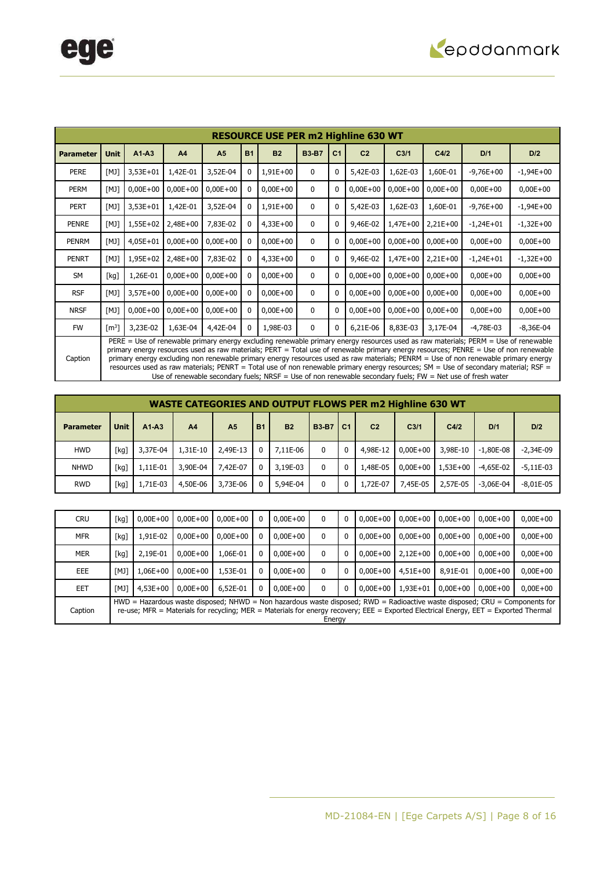

|                  |                     |            |              |                |           | <b>RESOURCE USE PER m2 Highline 630 WT</b> |              |                |                |                  |            |                                                                                                                                                                                                                                                                                                                                                                                                                                                                                                                                                                                                                                                                           |             |
|------------------|---------------------|------------|--------------|----------------|-----------|--------------------------------------------|--------------|----------------|----------------|------------------|------------|---------------------------------------------------------------------------------------------------------------------------------------------------------------------------------------------------------------------------------------------------------------------------------------------------------------------------------------------------------------------------------------------------------------------------------------------------------------------------------------------------------------------------------------------------------------------------------------------------------------------------------------------------------------------------|-------------|
| <b>Parameter</b> | <b>Unit</b>         | $A1 - A3$  | A4           | A <sub>5</sub> | <b>B1</b> | <b>B2</b>                                  | <b>B3-B7</b> | C <sub>1</sub> | C <sub>2</sub> | C <sub>3/1</sub> | C4/2       | D/1                                                                                                                                                                                                                                                                                                                                                                                                                                                                                                                                                                                                                                                                       | D/2         |
| <b>PERE</b>      | [M]                 | $3,53E+01$ | 1,42E-01     | 3,52E-04       |           | $1,91E+00$                                 | 0            | 0              | 5,42E-03       | 1,62E-03         | 1,60E-01   | $-9,76E+00$                                                                                                                                                                                                                                                                                                                                                                                                                                                                                                                                                                                                                                                               | $-1,94E+00$ |
| PERM             | [M]                 | $0,00E+00$ | $0,00E + 00$ | $0,00E+00$     |           | $0,00E + 00$                               | $\mathbf{0}$ | 0              | $0,00E + 00$   | $0,00E+00$       | $0,00E+00$ | $0,00E + 00$                                                                                                                                                                                                                                                                                                                                                                                                                                                                                                                                                                                                                                                              | $0,00E+00$  |
| <b>PERT</b>      | [M]                 | $3,53E+01$ | 1,42E-01     | 3,52E-04       |           | $1,91E+00$                                 | 0            | 0              | 5,42E-03       | 1,62E-03         | 1,60E-01   | $-9,76E+00$                                                                                                                                                                                                                                                                                                                                                                                                                                                                                                                                                                                                                                                               | $-1,94E+00$ |
| PENRE            | [M]                 | 1,55E+02   | 2,48E+00     | 7,83E-02       |           | $4,33E+00$                                 | $\mathbf{0}$ | $\Omega$       | 9,46E-02       | $1,47E+00$       | $2,21E+00$ | $-1,24E+01$                                                                                                                                                                                                                                                                                                                                                                                                                                                                                                                                                                                                                                                               | $-1,32E+00$ |
| <b>PENRM</b>     | [M]                 | $4,05E+01$ | $0,00E+00$   | $0,00E+00$     |           | $0,00E + 00$                               | $\mathbf{0}$ | 0              | $0,00E+00$     | $0,00E+00$       | $0,00E+00$ | $0,00E+00$                                                                                                                                                                                                                                                                                                                                                                                                                                                                                                                                                                                                                                                                | $0,00E+00$  |
| <b>PENRT</b>     | [M]                 | 1,95E+02   | 2,48E+00     | 7,83E-02       |           | $4,33E+00$                                 | 0            | $\Omega$       | 9,46E-02       | $1,47E+00$       | $2,21E+00$ | $-1,24E+01$                                                                                                                                                                                                                                                                                                                                                                                                                                                                                                                                                                                                                                                               | $-1,32E+00$ |
| <b>SM</b>        | [kg]                | 1,26E-01   | $0,00E+00$   | $0,00E+00$     |           | $0,00E + 00$                               | $\mathbf{0}$ | 0              | $0,00E+00$     | $0,00E+00$       | $0,00E+00$ | $0,00E+00$                                                                                                                                                                                                                                                                                                                                                                                                                                                                                                                                                                                                                                                                | $0,00E+00$  |
| <b>RSF</b>       | [M]                 | $3,57E+00$ | $0,00E+00$   | $0,00E+00$     |           | $0,00E + 00$                               | 0            | 0              | $0,00E + 00$   | $0,00E+00$       | $0,00E+00$ | $0,00E+00$                                                                                                                                                                                                                                                                                                                                                                                                                                                                                                                                                                                                                                                                | $0,00E+00$  |
| <b>NRSF</b>      | [M]                 | $0,00E+00$ | $0,00E+00$   | $0,00E+00$     |           | $0,00E + 00$                               | $\mathbf{0}$ | 0              | $0,00E+00$     | $0,00E+00$       | $0,00E+00$ | $0,00E+00$                                                                                                                                                                                                                                                                                                                                                                                                                                                                                                                                                                                                                                                                | $0,00E+00$  |
| <b>FW</b>        | $\lceil m^3 \rceil$ | 3,23E-02   | 1,63E-04     | 4,42E-04       | 0         | 1,98E-03                                   | 0            | 0              | 6,21E-06       | 8,83E-03         | 3,17E-04   | $-4,78E-03$                                                                                                                                                                                                                                                                                                                                                                                                                                                                                                                                                                                                                                                               | $-8,36E-04$ |
| Caption          |                     |            |              |                |           |                                            |              |                |                |                  |            | PERE = Use of renewable primary energy excluding renewable primary energy resources used as raw materials; PERM = Use of renewable<br>primary energy resources used as raw materials; PERT = Total use of renewable primary energy resources; PENRE = Use of non renewable<br>primary energy excluding non renewable primary energy resources used as raw materials; PENRM = Use of non renewable primary energy<br>resources used as raw materials; PENRT = Total use of non renewable primary energy resources; SM = Use of secondary material; RSF =<br>Use of renewable secondary fuels; $NRSF =$ Use of non renewable secondary fuels; $FW = Net$ use of fresh water |             |

|                  |             |          |                |                |           |           |              |                | <b>WASTE CATEGORIES AND OUTPUT FLOWS PER m2 Highline 630 WT</b> |                  |              |               |               |
|------------------|-------------|----------|----------------|----------------|-----------|-----------|--------------|----------------|-----------------------------------------------------------------|------------------|--------------|---------------|---------------|
| <b>Parameter</b> | <b>Unit</b> | $A1-A3$  | A <sub>4</sub> | A <sub>5</sub> | <b>B1</b> | <b>B2</b> | <b>B3-B7</b> | C <sub>1</sub> | C <sub>2</sub>                                                  | C <sub>3/1</sub> | C4/2         | D/1           | D/2           |
| <b>HWD</b>       | [kq]        | 3,37E-04 | 1,31E-10       | 2,49E-13       | 0         | 7,11E-06  | 0            |                | 4,98E-12                                                        | $0.00E + 00$     | 3,98E-10     | $-1.80E-08$   | $-2,34E-09$   |
| <b>NHWD</b>      | [kq]        | 1.11E-01 | 3,90E-04       | 7.42E-07       | 0         | 3,19E-03  | 0            |                | 1,48E-05                                                        | $0.00E + 00$     | $1.53E + 00$ | $-4.65E-02$   | $-5.11E-03$   |
| <b>RWD</b>       | [kg]        | 1,71E-03 | 4,50E-06       | 3,73E-06       |           | 5,94E-04  | 0            |                | 1,72E-07                                                        | 7,45E-05         | 2,57E-05     | $-3.06E - 04$ | $-8.01E - 05$ |

| <b>CRU</b> | [kq] | $0.00E + 00$ | $0.00E + 00$ | $0.00E + 00$ | 0        | $0.00E + 00$ | 0            | 0 | $0.00E + 00$ | $0.00E + 00$ | $0.00E + 00$ | $0.00E + 00$                                                                                                                         | $0,00E+00$                                                                                                                  |
|------------|------|--------------|--------------|--------------|----------|--------------|--------------|---|--------------|--------------|--------------|--------------------------------------------------------------------------------------------------------------------------------------|-----------------------------------------------------------------------------------------------------------------------------|
| <b>MFR</b> | [kg] | 1,91E-02     | $0.00E + 00$ | $0.00E + 00$ | 0        | $0,00E+00$   | 0            | 0 | $0.00E + 00$ | $0.00E + 00$ | $0.00E + 00$ | $0.00E + 00$                                                                                                                         | $0,00E+00$                                                                                                                  |
| <b>MER</b> | [kq] | 2,19E-01     | $0.00E + 00$ | 1.06E-01     | 0        | $0.00E + 00$ | 0            | 0 | $0.00E + 00$ | $2.12E + 00$ | $0.00E + 00$ | $0.00E + 00$                                                                                                                         | $0,00E+00$                                                                                                                  |
| EEE        | [MJ] | 1,06E+00     | $0.00E + 00$ | 1,53E-01     | 0        | $0.00E + 00$ | 0            | 0 | $0.00E + 00$ | $4.51E + 00$ | 8,91E-01     | $0.00E + 00$                                                                                                                         | $0,00E+00$                                                                                                                  |
| EET        | [MJ] | $4.53E + 00$ | $0.00E + 00$ | 6,52E-01     | $\Omega$ | $0.00E + 00$ | $\mathbf{0}$ | 0 | $0.00E + 00$ | $1.93E + 01$ | $0.00E + 00$ | $0.00E + 00$                                                                                                                         | $0,00E+00$                                                                                                                  |
| Caption    |      |              |              |              |          |              | Energy       |   |              |              |              | re-use; MFR = Materials for recycling; MER = Materials for energy recovery; EEE = Exported Electrical Energy, EET = Exported Thermal | HWD = Hazardous waste disposed; NHWD = Non hazardous waste disposed; RWD = Radioactive waste disposed; CRU = Components for |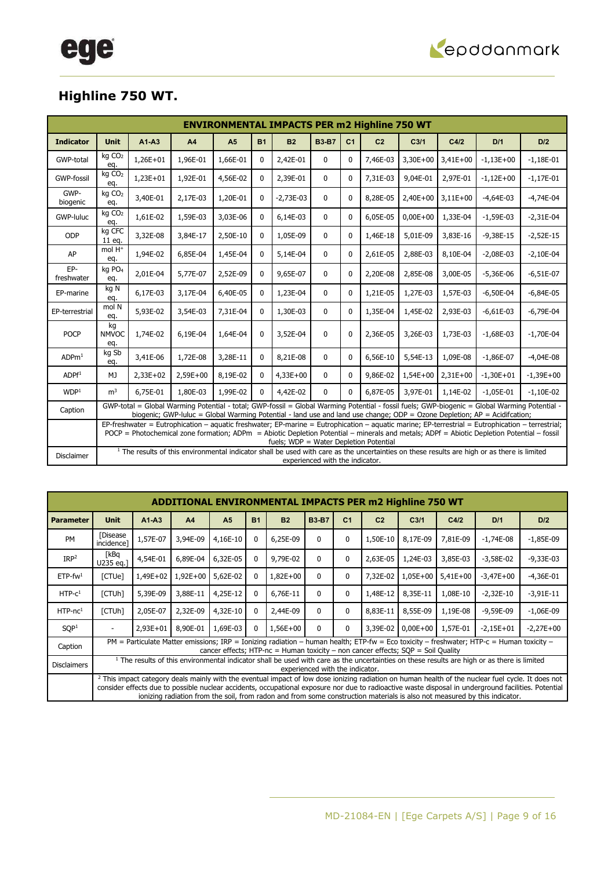

### **Highline 750 WT.**

|                   | <b>ENVIRONMENTAL IMPACTS PER m2 Highline 750 WT</b><br><b>Unit</b><br>A <sub>5</sub><br><b>B1</b><br><b>B2</b><br><b>B3-B7</b><br>C <sub>2</sub><br>D/2<br>$A1-A3$<br>A <sub>4</sub><br>C <sub>1</sub><br>C <sub>3/1</sub><br>C4/2<br>D/1<br>kg CO <sub>2</sub><br>1,66E-01<br>$1,26E+01$<br>1,96E-01<br>2,42E-01<br>7,46E-03<br>$3,30E+00$<br>$3,41E+00$<br>$-1,13E+00$<br>$\mathbf{0}$<br>$\mathbf{0}$<br>$\Omega$<br>$-1,18E-01$<br>eq.<br>kg CO <sub>2</sub><br>$1,23E+01$<br>1,92E-01<br>4,56E-02<br>2,39E-01<br>$\mathbf{0}$<br>7,31E-03<br>9,04E-01<br>2,97E-01<br>$-1,12E+00$<br>$-1,17E-01$<br>0<br>$\Omega$<br>eq.<br>GWP-<br>kg CO <sub>2</sub><br>3,40E-01<br>1,20E-01<br>2,17E-03<br>$-2,73E-03$<br>8,28E-05<br>2,40E+00<br>$3,11E+00$<br>$\mathbf{0}$<br>$\Omega$<br>$-4,64E-03$<br>$-4,74E-04$<br>$\mathbf{0}$<br>eq.<br>kg CO <sub>2</sub><br>1,61E-02<br>1,59E-03<br>3,03E-06<br>6,14E-03<br>6,05E-05<br>$0,00E + 00$<br>1,33E-04<br>0<br>$\mathbf{0}$<br>$-1,59E-03$<br>$-2,31E-04$<br>0<br>eq.<br>kg CFC<br>3,32E-08<br>2,50E-10<br>3,83E-16<br>ODP<br>3,84E-17<br>1,05E-09<br>1,46E-18<br>5,01E-09<br>$-9,38E-15$<br>$-2,52E-15$<br>$\mathbf{0}$<br>0<br>$\Omega$<br>11 eq.<br>mol H <sup>+</sup><br>1,94E-02<br>6,85E-04<br>1,45E-04<br>5,14E-04<br>2,61E-05<br>2,88E-03<br>8,10E-04<br>AP<br>$\mathbf 0$<br>$\mathbf{0}$<br>$-2,08E-03$<br>$-2,10E-04$<br>0<br>eq.<br>EP-<br>kg PO <sub>4</sub><br>2,01E-04<br>5,77E-07<br>2,52E-09<br>9,65E-07<br>2,20E-08<br>2,85E-08<br>3,00E-05<br>$-5,36E-06$<br>$-6,51E-07$<br>$\mathbf{0}$<br>$\mathbf{0}$<br>$\Omega$<br>eq.<br>kg N<br>6,17E-03<br>6,40E-05<br>3,17E-04<br>1,23E-04<br>1,57E-03<br>$\mathbf{0}$<br>$\mathbf 0$<br>$\mathbf{0}$<br>1,21E-05<br>1,27E-03<br>$-6,50E-04$<br>$-6,84E-05$<br>eq.<br>mol N<br>5,93E-02<br>7,31E-04<br>3,54E-03<br>1,30E-03<br>$\mathbf 0$<br>1,35E-04<br>1,45E-02<br>2,93E-03<br>$\Omega$<br>$-6,61E-03$<br>$-6,79E-04$<br>$\mathbf{0}$<br>eq.<br>kg<br>POCP<br>1,64E-04<br>$\mathbf{0}$<br><b>NMVOC</b><br>1,74E-02<br>6,19E-04<br>$\mathbf{0}$<br>3,52E-04<br>$\Omega$<br>2,36E-05<br>3,26E-03<br>1,73E-03<br>$-1,70E-04$<br>$-1,68E-03$<br>eq.<br>kg Sb |          |          |          |   |                                        |                                 |              |          |            |            |                                                                                                                                                                                                                                                                                                |             |
|-------------------|---------------------------------------------------------------------------------------------------------------------------------------------------------------------------------------------------------------------------------------------------------------------------------------------------------------------------------------------------------------------------------------------------------------------------------------------------------------------------------------------------------------------------------------------------------------------------------------------------------------------------------------------------------------------------------------------------------------------------------------------------------------------------------------------------------------------------------------------------------------------------------------------------------------------------------------------------------------------------------------------------------------------------------------------------------------------------------------------------------------------------------------------------------------------------------------------------------------------------------------------------------------------------------------------------------------------------------------------------------------------------------------------------------------------------------------------------------------------------------------------------------------------------------------------------------------------------------------------------------------------------------------------------------------------------------------------------------------------------------------------------------------------------------------------------------------------------------------------------------------------------------------------------------------------------------------------------------------------------------------------------------------------------------------------------------------------------------------------------------------------------------------------------------------------|----------|----------|----------|---|----------------------------------------|---------------------------------|--------------|----------|------------|------------|------------------------------------------------------------------------------------------------------------------------------------------------------------------------------------------------------------------------------------------------------------------------------------------------|-------------|
| <b>Indicator</b>  |                                                                                                                                                                                                                                                                                                                                                                                                                                                                                                                                                                                                                                                                                                                                                                                                                                                                                                                                                                                                                                                                                                                                                                                                                                                                                                                                                                                                                                                                                                                                                                                                                                                                                                                                                                                                                                                                                                                                                                                                                                                                                                                                                                     |          |          |          |   |                                        |                                 |              |          |            |            |                                                                                                                                                                                                                                                                                                |             |
| GWP-total         |                                                                                                                                                                                                                                                                                                                                                                                                                                                                                                                                                                                                                                                                                                                                                                                                                                                                                                                                                                                                                                                                                                                                                                                                                                                                                                                                                                                                                                                                                                                                                                                                                                                                                                                                                                                                                                                                                                                                                                                                                                                                                                                                                                     |          |          |          |   |                                        |                                 |              |          |            |            |                                                                                                                                                                                                                                                                                                |             |
| <b>GWP-fossil</b> |                                                                                                                                                                                                                                                                                                                                                                                                                                                                                                                                                                                                                                                                                                                                                                                                                                                                                                                                                                                                                                                                                                                                                                                                                                                                                                                                                                                                                                                                                                                                                                                                                                                                                                                                                                                                                                                                                                                                                                                                                                                                                                                                                                     |          |          |          |   |                                        |                                 |              |          |            |            |                                                                                                                                                                                                                                                                                                |             |
| biogenic          |                                                                                                                                                                                                                                                                                                                                                                                                                                                                                                                                                                                                                                                                                                                                                                                                                                                                                                                                                                                                                                                                                                                                                                                                                                                                                                                                                                                                                                                                                                                                                                                                                                                                                                                                                                                                                                                                                                                                                                                                                                                                                                                                                                     |          |          |          |   |                                        |                                 |              |          |            |            |                                                                                                                                                                                                                                                                                                |             |
| GWP-luluc         |                                                                                                                                                                                                                                                                                                                                                                                                                                                                                                                                                                                                                                                                                                                                                                                                                                                                                                                                                                                                                                                                                                                                                                                                                                                                                                                                                                                                                                                                                                                                                                                                                                                                                                                                                                                                                                                                                                                                                                                                                                                                                                                                                                     |          |          |          |   |                                        |                                 |              |          |            |            |                                                                                                                                                                                                                                                                                                |             |
|                   |                                                                                                                                                                                                                                                                                                                                                                                                                                                                                                                                                                                                                                                                                                                                                                                                                                                                                                                                                                                                                                                                                                                                                                                                                                                                                                                                                                                                                                                                                                                                                                                                                                                                                                                                                                                                                                                                                                                                                                                                                                                                                                                                                                     |          |          |          |   |                                        |                                 |              |          |            |            |                                                                                                                                                                                                                                                                                                |             |
|                   |                                                                                                                                                                                                                                                                                                                                                                                                                                                                                                                                                                                                                                                                                                                                                                                                                                                                                                                                                                                                                                                                                                                                                                                                                                                                                                                                                                                                                                                                                                                                                                                                                                                                                                                                                                                                                                                                                                                                                                                                                                                                                                                                                                     |          |          |          |   |                                        |                                 |              |          |            |            |                                                                                                                                                                                                                                                                                                |             |
| freshwater        |                                                                                                                                                                                                                                                                                                                                                                                                                                                                                                                                                                                                                                                                                                                                                                                                                                                                                                                                                                                                                                                                                                                                                                                                                                                                                                                                                                                                                                                                                                                                                                                                                                                                                                                                                                                                                                                                                                                                                                                                                                                                                                                                                                     |          |          |          |   |                                        |                                 |              |          |            |            |                                                                                                                                                                                                                                                                                                |             |
| EP-marine         |                                                                                                                                                                                                                                                                                                                                                                                                                                                                                                                                                                                                                                                                                                                                                                                                                                                                                                                                                                                                                                                                                                                                                                                                                                                                                                                                                                                                                                                                                                                                                                                                                                                                                                                                                                                                                                                                                                                                                                                                                                                                                                                                                                     |          |          |          |   |                                        |                                 |              |          |            |            |                                                                                                                                                                                                                                                                                                |             |
| EP-terrestrial    |                                                                                                                                                                                                                                                                                                                                                                                                                                                                                                                                                                                                                                                                                                                                                                                                                                                                                                                                                                                                                                                                                                                                                                                                                                                                                                                                                                                                                                                                                                                                                                                                                                                                                                                                                                                                                                                                                                                                                                                                                                                                                                                                                                     |          |          |          |   |                                        |                                 |              |          |            |            |                                                                                                                                                                                                                                                                                                |             |
|                   |                                                                                                                                                                                                                                                                                                                                                                                                                                                                                                                                                                                                                                                                                                                                                                                                                                                                                                                                                                                                                                                                                                                                                                                                                                                                                                                                                                                                                                                                                                                                                                                                                                                                                                                                                                                                                                                                                                                                                                                                                                                                                                                                                                     |          |          |          |   |                                        |                                 |              |          |            |            |                                                                                                                                                                                                                                                                                                |             |
| ADPm <sup>1</sup> | eg.                                                                                                                                                                                                                                                                                                                                                                                                                                                                                                                                                                                                                                                                                                                                                                                                                                                                                                                                                                                                                                                                                                                                                                                                                                                                                                                                                                                                                                                                                                                                                                                                                                                                                                                                                                                                                                                                                                                                                                                                                                                                                                                                                                 | 3,41E-06 | 1,72E-08 | 3,28E-11 | 0 | 8,21E-08                               | 0                               | 0            | 6,56E-10 | 5,54E-13   | 1,09E-08   | $-1,86E-07$                                                                                                                                                                                                                                                                                    | $-4,04E-08$ |
| ADPf <sup>1</sup> | MJ                                                                                                                                                                                                                                                                                                                                                                                                                                                                                                                                                                                                                                                                                                                                                                                                                                                                                                                                                                                                                                                                                                                                                                                                                                                                                                                                                                                                                                                                                                                                                                                                                                                                                                                                                                                                                                                                                                                                                                                                                                                                                                                                                                  | 2,33E+02 | 2,59E+00 | 8,19E-02 | 0 | $4,33E+00$                             | 0                               | $\mathbf{0}$ | 9,86E-02 | $1,54E+00$ | $2,31E+00$ | $-1,30E+01$                                                                                                                                                                                                                                                                                    | $-1,39E+00$ |
| WDP <sup>1</sup>  | m <sup>3</sup>                                                                                                                                                                                                                                                                                                                                                                                                                                                                                                                                                                                                                                                                                                                                                                                                                                                                                                                                                                                                                                                                                                                                                                                                                                                                                                                                                                                                                                                                                                                                                                                                                                                                                                                                                                                                                                                                                                                                                                                                                                                                                                                                                      | 6,75E-01 | 1,80E-03 | 1,99E-02 | 0 | 4,42E-02                               | $\Omega$                        | $\Omega$     | 6,87E-05 | 3,97E-01   | 1,14E-02   | $-1,05E-01$                                                                                                                                                                                                                                                                                    | $-1,10E-02$ |
| Caption           |                                                                                                                                                                                                                                                                                                                                                                                                                                                                                                                                                                                                                                                                                                                                                                                                                                                                                                                                                                                                                                                                                                                                                                                                                                                                                                                                                                                                                                                                                                                                                                                                                                                                                                                                                                                                                                                                                                                                                                                                                                                                                                                                                                     |          |          |          |   |                                        |                                 |              |          |            |            | GWP-total = Global Warming Potential - total; GWP-fossil = Global Warming Potential - fossil fuels; GWP-biogenic = Global Warming Potential -<br>biogenic; GWP-luluc = Global Warming Potential - land use and land use change; ODP = Ozone Depletion; AP = Acidifcation;                      |             |
|                   |                                                                                                                                                                                                                                                                                                                                                                                                                                                                                                                                                                                                                                                                                                                                                                                                                                                                                                                                                                                                                                                                                                                                                                                                                                                                                                                                                                                                                                                                                                                                                                                                                                                                                                                                                                                                                                                                                                                                                                                                                                                                                                                                                                     |          |          |          |   | fuels; WDP = Water Depletion Potential |                                 |              |          |            |            | EP-freshwater = Eutrophication - aquatic freshwater; EP-marine = Eutrophication - aquatic marine; EP-terrestrial = Eutrophication - terrestrial;<br>POCP = Photochemical zone formation; ADPm = Abiotic Depletion Potential - minerals and metals; ADPf = Abiotic Depletion Potential - fossil |             |
| <b>Disclaimer</b> |                                                                                                                                                                                                                                                                                                                                                                                                                                                                                                                                                                                                                                                                                                                                                                                                                                                                                                                                                                                                                                                                                                                                                                                                                                                                                                                                                                                                                                                                                                                                                                                                                                                                                                                                                                                                                                                                                                                                                                                                                                                                                                                                                                     |          |          |          |   |                                        | experienced with the indicator. |              |          |            |            | <sup>1</sup> The results of this environmental indicator shall be used with care as the uncertainties on these results are high or as there is limited                                                                                                                                         |             |

|                        |                        |          |                |                |              | <b>ADDITIONAL ENVIRONMENTAL IMPACTS PER m2 Highline 750 WT</b>                     |                                 |                |                |                  |            |                                                                                                                                                                                                                                                                                   |                                                                                                                                                               |
|------------------------|------------------------|----------|----------------|----------------|--------------|------------------------------------------------------------------------------------|---------------------------------|----------------|----------------|------------------|------------|-----------------------------------------------------------------------------------------------------------------------------------------------------------------------------------------------------------------------------------------------------------------------------------|---------------------------------------------------------------------------------------------------------------------------------------------------------------|
| <b>Parameter</b>       | <b>Unit</b>            | $A1-A3$  | A <sub>4</sub> | A <sub>5</sub> | <b>B1</b>    | <b>B2</b>                                                                          | <b>B3-B7</b>                    | C <sub>1</sub> | C <sub>2</sub> | C <sub>3/1</sub> | C4/2       | D/1                                                                                                                                                                                                                                                                               | D/2                                                                                                                                                           |
| <b>PM</b>              | [Disease<br>incidence] | 1,57E-07 | 3,94E-09       | 4,16E-10       | 0            | 6,25E-09                                                                           | $\Omega$                        | 0              | 1,50E-10       | 8,17E-09         | 7,81E-09   | $-1,74E-08$                                                                                                                                                                                                                                                                       | $-1,85E-09$                                                                                                                                                   |
| IRP <sup>2</sup>       | [kBq<br>U235 eq.]      | 4,54E-01 | 6,89E-04       | 6,32E-05       | $\mathbf{0}$ | 9,79E-02                                                                           | 0                               | 0              | 2,63E-05       | 1,24E-03         | 3,85E-03   | $-3,58E-02$                                                                                                                                                                                                                                                                       | $-9,33E-03$                                                                                                                                                   |
| $ETP$ -fw <sup>1</sup> | [CTUe]                 | 1,49E+02 | $1,92E+00$     | 5,62E-02       | 0            | $1,82E+00$                                                                         | $\Omega$                        | $\mathbf{0}$   | 7,32E-02       | 1,05E+00         | $5,41E+00$ | $-3,47E+00$                                                                                                                                                                                                                                                                       | $-4,36E-01$                                                                                                                                                   |
| $HTP-C1$               | [CTUh]                 | 5,39E-09 | 3,88E-11       | 4,25E-12       | $\mathbf{0}$ | 6,76E-11                                                                           | $\Omega$                        | $\mathbf{0}$   | 1,48E-12       | 8,35E-11         | 1,08E-10   | $-2,32E-10$                                                                                                                                                                                                                                                                       | $-3,91E-11$                                                                                                                                                   |
| $HTP-nc1$              | [CTUh]                 | 2,05E-07 | 2,32E-09       | 4,32E-10       | 0            | 2,44E-09                                                                           | $\Omega$                        | 0              | 8,83E-11       | 8,55E-09         | 1,19E-08   | $-9,59E-09$                                                                                                                                                                                                                                                                       | $-1,06E-09$                                                                                                                                                   |
| SOP <sup>1</sup>       |                        | 2,93E+01 | 8,90E-01       | 1,69E-03       | $\mathbf{0}$ | 1,56E+00                                                                           | $\Omega$                        | $\mathbf{0}$   | 3,39E-02       | $0,00E+00$       | 1,57E-01   | $-2.15E + 01$                                                                                                                                                                                                                                                                     | $-2,27E+00$                                                                                                                                                   |
| Caption                |                        |          |                |                |              | cancer effects; HTP-nc = Human toxicity – non cancer effects; $SOP = Soil$ Quality |                                 |                |                |                  |            | PM = Particulate Matter emissions; IRP = Ionizing radiation – human health; ETP-fw = Eco toxicity – freshwater; HTP-c = Human toxicity –                                                                                                                                          |                                                                                                                                                               |
| <b>Disclaimers</b>     |                        |          |                |                |              |                                                                                    | experienced with the indicator. |                |                |                  |            | <sup>1</sup> The results of this environmental indicator shall be used with care as the uncertainties on these results are high or as there is limited                                                                                                                            |                                                                                                                                                               |
|                        |                        |          |                |                |              |                                                                                    |                                 |                |                |                  |            | consider effects due to possible nuclear accidents, occupational exposure nor due to radioactive waste disposal in underground facilities. Potential<br>ionizing radiation from the soil, from radon and from some construction materials is also not measured by this indicator. | <sup>2</sup> This impact category deals mainly with the eventual impact of low dose ionizing radiation on human health of the nuclear fuel cycle. It does not |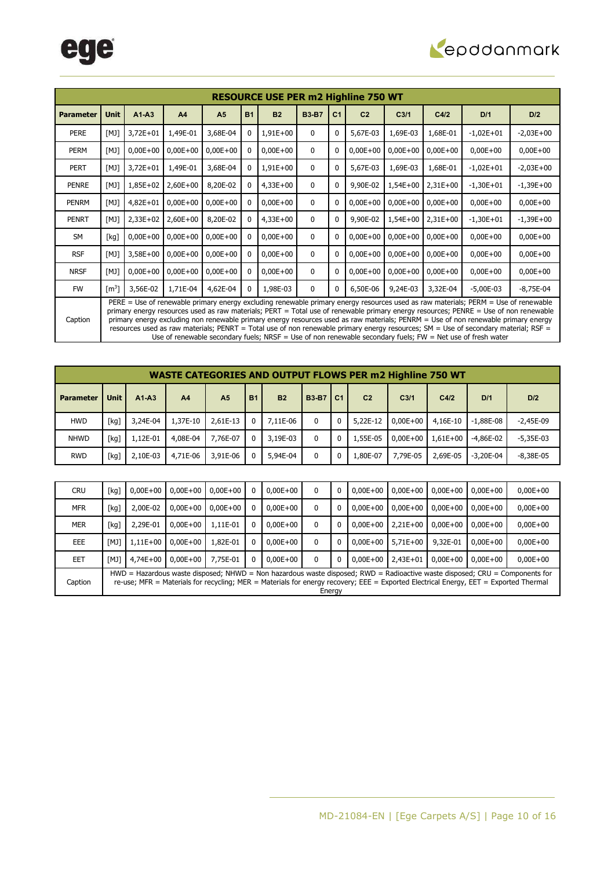

|                  |                     |            |                |                |           | <b>RESOURCE USE PER m2 Highline 750 WT</b> |              |                |                |                  |            |                                                                                                                                                                                                                                                                                                                                                                                                                                                                                                                                                                                                                                                                           |              |
|------------------|---------------------|------------|----------------|----------------|-----------|--------------------------------------------|--------------|----------------|----------------|------------------|------------|---------------------------------------------------------------------------------------------------------------------------------------------------------------------------------------------------------------------------------------------------------------------------------------------------------------------------------------------------------------------------------------------------------------------------------------------------------------------------------------------------------------------------------------------------------------------------------------------------------------------------------------------------------------------------|--------------|
| <b>Parameter</b> | <b>Unit</b>         | $A1 - A3$  | A <sub>4</sub> | A <sub>5</sub> | <b>B1</b> | <b>B2</b>                                  | <b>B3-B7</b> | C <sub>1</sub> | C <sub>2</sub> | C <sub>3/1</sub> | C4/2       | D/1                                                                                                                                                                                                                                                                                                                                                                                                                                                                                                                                                                                                                                                                       | D/2          |
| <b>PERE</b>      | [M]                 | $3,72E+01$ | 1,49E-01       | 3,68E-04       |           | $1,91E+00$                                 | $\mathbf{0}$ | 0              | 5,67E-03       | 1,69E-03         | 1,68E-01   | $-1,02E+01$                                                                                                                                                                                                                                                                                                                                                                                                                                                                                                                                                                                                                                                               | $-2,03E+00$  |
| PERM             | [M]                 | $0,00E+00$ | $0,00E + 00$   | $0,00E+00$     |           | $0,00E+00$                                 | $\mathbf{0}$ | 0              | $0,00E + 00$   | $0,00E+00$       | $0,00E+00$ | $0,00E+00$                                                                                                                                                                                                                                                                                                                                                                                                                                                                                                                                                                                                                                                                | $0,00E+00$   |
| <b>PERT</b>      | [M]                 | $3,72E+01$ | 1,49E-01       | 3,68E-04       |           | $1,91E+00$                                 | $\mathbf 0$  | $\mathbf{0}$   | 5,67E-03       | 1,69E-03         | 1,68E-01   | $-1,02E+01$                                                                                                                                                                                                                                                                                                                                                                                                                                                                                                                                                                                                                                                               | $-2,03E+00$  |
| <b>PENRE</b>     | [M]                 | 1,85E+02   | $2,60E+00$     | 8,20E-02       |           | $4,33E+00$                                 | $\mathbf{0}$ | $\mathbf{0}$   | 9,90E-02       | $1,54E+00$       | $2,31E+00$ | $-1,30E+01$                                                                                                                                                                                                                                                                                                                                                                                                                                                                                                                                                                                                                                                               | $-1,39E+00$  |
| PENRM            | [M]                 | $4,82E+01$ | $0,00E+00$     | $0,00E+00$     |           | $0,00E+00$                                 | $\mathbf{0}$ | 0              | $0,00E + 00$   | $0,00E+00$       | $0,00E+00$ | $0,00E+00$                                                                                                                                                                                                                                                                                                                                                                                                                                                                                                                                                                                                                                                                | $0,00E + 00$ |
| <b>PENRT</b>     | [M]                 | $2,33E+02$ | $2,60E+00$     | 8,20E-02       |           | $4,33E+00$                                 | $\mathbf{0}$ | 0              | 9,90E-02       | $1,54E+00$       | $2,31E+00$ | $-1,30E+01$                                                                                                                                                                                                                                                                                                                                                                                                                                                                                                                                                                                                                                                               | $-1,39E+00$  |
| <b>SM</b>        | [kg]                | $0,00E+00$ | $0,00E+00$     | $0,00E+00$     |           | $0,00E+00$                                 | $\mathbf{0}$ |                | $0,00E + 00$   | $0,00E+00$       | $0,00E+00$ | $0,00E+00$                                                                                                                                                                                                                                                                                                                                                                                                                                                                                                                                                                                                                                                                | $0,00E+00$   |
| <b>RSF</b>       | [M]                 | $3,58E+00$ | $0,00E + 00$   | $0,00E+00$     |           | $0,00E+00$                                 | $\mathbf{0}$ | 0              | $0,00E+00$     | $0,00E+00$       | $0,00E+00$ | $0,00E+00$                                                                                                                                                                                                                                                                                                                                                                                                                                                                                                                                                                                                                                                                | $0,00E+00$   |
| <b>NRSF</b>      | [M]                 | $0,00E+00$ | $0,00E+00$     | $0,00E+00$     |           | $0,00E+00$                                 | $\mathbf{0}$ | 0              | $0,00E + 00$   | $0,00E+00$       | $0,00E+00$ | $0,00E+00$                                                                                                                                                                                                                                                                                                                                                                                                                                                                                                                                                                                                                                                                | $0,00E+00$   |
| <b>FW</b>        | $\lceil m^3 \rceil$ | 3,56E-02   | 1,71E-04       | 4,62E-04       | 0         | 1,98E-03                                   | $\mathbf{0}$ | 0              | 6,50E-06       | 9,24E-03         | 3,32E-04   | $-5,00E-03$                                                                                                                                                                                                                                                                                                                                                                                                                                                                                                                                                                                                                                                               | $-8,75E-04$  |
| Caption          |                     |            |                |                |           |                                            |              |                |                |                  |            | PERE = Use of renewable primary energy excluding renewable primary energy resources used as raw materials; PERM = Use of renewable<br>primary energy resources used as raw materials; PERT = Total use of renewable primary energy resources; PENRE = Use of non renewable<br>primary energy excluding non renewable primary energy resources used as raw materials; PENRM = Use of non renewable primary energy<br>resources used as raw materials; PENRT = Total use of non renewable primary energy resources; SM = Use of secondary material; RSF =<br>Use of renewable secondary fuels; $NRSF =$ Use of non renewable secondary fuels; $FW = Net$ use of fresh water |              |

|                  |      |          |                | <b>WASTE CATEGORIES AND OUTPUT FLOWS PER m2 Highline 750 WT</b> |              |           |              |                |                |                  |              |               |               |
|------------------|------|----------|----------------|-----------------------------------------------------------------|--------------|-----------|--------------|----------------|----------------|------------------|--------------|---------------|---------------|
| <b>Parameter</b> | Unit | $A1-A3$  | A <sub>4</sub> | A <sub>5</sub>                                                  | <b>B1</b>    | <b>B2</b> | <b>B3-B7</b> | C <sub>1</sub> | C <sub>2</sub> | C <sub>3/1</sub> | C4/2         | D/1           | D/2           |
| <b>HWD</b>       | [kg] | 3,24E-04 | 1,37E-10       | $2.61E-13$                                                      | 0            | 7,11E-06  | $\mathbf 0$  | $\mathbf{0}$   | 5,22E-12       | $0.00E + 00$     | 4,16E-10     | $-1.88E-08$   | $-2.45E-09$   |
| <b>NHWD</b>      | [kg] | 1,12E-01 | 4,08E-04       | 7.76E-07                                                        | $\mathbf{0}$ | 3,19E-03  | $\mathbf{0}$ | 0              | 1,55E-05       | $0.00E + 00$     | $1.61E + 00$ | $-4.86E-02$   | $-5.35E-03$   |
| <b>RWD</b>       | [kg] | 2.10E-03 | 4,71E-06       | 3,91E-06                                                        |              | 5,94E-04  | 0            | 0              | 1,80E-07       | 7.79E-05         | 2,69E-05     | $-3.20E - 04$ | $-8.38E - 05$ |

| <b>CRU</b> | [kg]                                                                                                                                                                                                                                                                            | $0.00E + 00$ | $0,00E+00$   | $0.00E + 00$ | 0        | $0,00E+00$   | 0            | 0 | $0.00E + 00$ | $0.00E + 00$ | $0.00E + 00$ | $0.00E + 00$ | $0,00E+00$   |
|------------|---------------------------------------------------------------------------------------------------------------------------------------------------------------------------------------------------------------------------------------------------------------------------------|--------------|--------------|--------------|----------|--------------|--------------|---|--------------|--------------|--------------|--------------|--------------|
| <b>MFR</b> | [kg]                                                                                                                                                                                                                                                                            | 2,00E-02     | $0.00E + 00$ | $0.00E + 00$ | 0        | $0.00E + 00$ | 0            | 0 | $0.00E + 00$ | $0.00E + 00$ | $0.00E + 00$ | $0.00E + 00$ | $0,00E+00$   |
| <b>MER</b> | [kg]                                                                                                                                                                                                                                                                            | 2.29E-01     | $0.00E + 00$ | 1,11E-01     | $\Omega$ | $0.00E + 00$ | 0            | 0 | $0.00E + 00$ | $2.21E+00$   | $0.00E + 00$ | $0.00E + 00$ | $0,00E+00$   |
| <b>EEE</b> | [MJ]                                                                                                                                                                                                                                                                            | $1,11E+00$   | $0,00E+00$   | 1,82E-01     | $\Omega$ | $0,00E+00$   | $\mathbf{0}$ | 0 | $0.00E + 00$ | $5.71E+00$   | 9,32E-01     | $0.00E + 00$ | $0,00E+00$   |
| <b>EET</b> | <b>TMJ1</b>                                                                                                                                                                                                                                                                     | $4.74E + 00$ | $0.00E + 00$ | 7.75E-01     | $\Omega$ | $0.00E + 00$ | $\mathbf{0}$ | 0 | $0.00E + 00$ | $2.43E + 01$ | $0.00E + 00$ | $0.00E + 00$ | $0.00E + 00$ |
| Caption    | $HWD =$ Hazardous waste disposed; NHWD = Non hazardous waste disposed; RWD = Radioactive waste disposed; CRU = Components for<br>re-use; MFR = Materials for recycling; MER = Materials for energy recovery; EEE = Exported Electrical Energy, EET = Exported Thermal<br>Energy |              |              |              |          |              |              |   |              |              |              |              |              |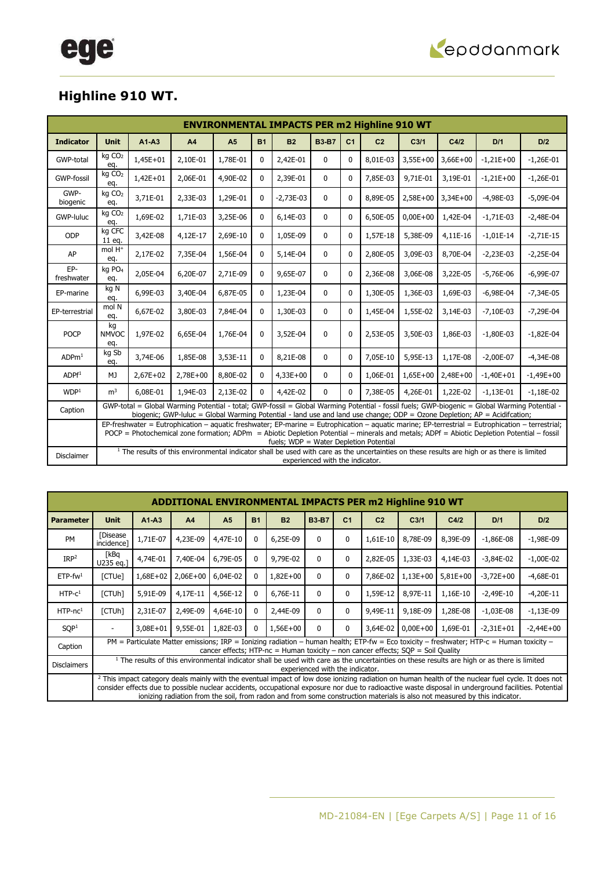

### **Highline 910 WT.**

|                   | <b>ENVIRONMENTAL IMPACTS PER m2 Highline 910 WT</b>                                                                                                                                                                                                                                                                                      |            |          |                |              |             |                                 |                |                |                  |            |                                                                                                                                                        |             |
|-------------------|------------------------------------------------------------------------------------------------------------------------------------------------------------------------------------------------------------------------------------------------------------------------------------------------------------------------------------------|------------|----------|----------------|--------------|-------------|---------------------------------|----------------|----------------|------------------|------------|--------------------------------------------------------------------------------------------------------------------------------------------------------|-------------|
| <b>Indicator</b>  | <b>Unit</b>                                                                                                                                                                                                                                                                                                                              | $A1-A3$    | A4       | A <sub>5</sub> | <b>B1</b>    | <b>B2</b>   | <b>B3-B7</b>                    | C <sub>1</sub> | C <sub>2</sub> | C <sub>3/1</sub> | C4/2       | D/1                                                                                                                                                    | D/2         |
| GWP-total         | kg CO <sub>2</sub><br>eq.                                                                                                                                                                                                                                                                                                                | $1,45E+01$ | 2,10E-01 | 1,78E-01       | $\mathbf{0}$ | 2,42E-01    | $\mathbf{0}$                    | $\mathbf{0}$   | 8,01E-03       | 3,55E+00         | $3,66E+00$ | $-1,21E+00$                                                                                                                                            | $-1,26E-01$ |
| <b>GWP-fossil</b> | kg CO <sub>2</sub><br>eq.                                                                                                                                                                                                                                                                                                                | $1,42E+01$ | 2,06E-01 | 4,90E-02       | 0            | 2,39E-01    | $\mathbf{0}$                    | $\mathbf{0}$   | 7,85E-03       | 9,71E-01         | 3,19E-01   | $-1,21E+00$                                                                                                                                            | $-1,26E-01$ |
| GWP-<br>biogenic  | kg CO <sub>2</sub><br>eq.                                                                                                                                                                                                                                                                                                                | 3,71E-01   | 2,33E-03 | 1,29E-01       | $\mathbf{0}$ | $-2,73E-03$ | $\mathbf{0}$                    | $\Omega$       | 8,89E-05       | 2,58E+00         | $3,34E+00$ | $-4,98E-03$                                                                                                                                            | $-5,09E-04$ |
| GWP-luluc         | kg CO <sub>2</sub><br>eq.                                                                                                                                                                                                                                                                                                                | 1,69E-02   | 1,71E-03 | 3,25E-06       | 0            | 6,14E-03    | 0                               | $\mathbf{0}$   | 6,50E-05       | $0,00E + 00$     | 1,42E-04   | $-1,71E-03$                                                                                                                                            | $-2,48E-04$ |
| ODP               | kg CFC<br>11 eg.                                                                                                                                                                                                                                                                                                                         | 3,42E-08   | 4,12E-17 | 2,69E-10       | $\mathbf{0}$ | 1,05E-09    | 0                               | $\Omega$       | 1,57E-18       | 5,38E-09         | 4,11E-16   | $-1,01E-14$                                                                                                                                            | $-2,71E-15$ |
| AP                | mol H <sup>+</sup><br>eq.                                                                                                                                                                                                                                                                                                                | 2,17E-02   | 7,35E-04 | 1,56E-04       | 0            | 5,14E-04    | 0                               | $\Omega$       | 2,80E-05       | 3,09E-03         | 8,70E-04   | $-2,23E-03$                                                                                                                                            | $-2,25E-04$ |
| EP-<br>freshwater | kg PO <sub>4</sub><br>eq.                                                                                                                                                                                                                                                                                                                | 2,05E-04   | 6,20E-07 | 2,71E-09       | 0            | 9,65E-07    | $\mathbf 0$                     | $\Omega$       | 2,36E-08       | 3,06E-08         | 3,22E-05   | $-5,76E-06$                                                                                                                                            | $-6,99E-07$ |
| EP-marine         | kg N<br>eq.                                                                                                                                                                                                                                                                                                                              | 6,99E-03   | 3,40E-04 | 6,87E-05       | $\mathbf{0}$ | 1,23E-04    | 0                               | $\Omega$       | 1,30E-05       | 1,36E-03         | 1,69E-03   | $-6,98E-04$                                                                                                                                            | $-7,34E-05$ |
| EP-terrestrial    | mol N<br>eq.                                                                                                                                                                                                                                                                                                                             | 6,67E-02   | 3,80E-03 | 7,84E-04       | 0            | 1,30E-03    | $\mathbf 0$                     | $\Omega$       | 1,45E-04       | 1,55E-02         | 3,14E-03   | $-7,10E-03$                                                                                                                                            | $-7,29E-04$ |
| <b>POCP</b>       | kg<br><b>NMVOC</b><br>eq.                                                                                                                                                                                                                                                                                                                | 1,97E-02   | 6,65E-04 | 1,76E-04       | $\mathbf 0$  | 3,52E-04    | 0                               | $\mathbf{0}$   | 2,53E-05       | 3,50E-03         | 1,86E-03   | $-1,80E-03$                                                                                                                                            | $-1,82E-04$ |
| ADPm <sup>1</sup> | kg Sb<br>eq.                                                                                                                                                                                                                                                                                                                             | 3,74E-06   | 1,85E-08 | 3,53E-11       | $\mathbf{0}$ | 8,21E-08    | 0                               | $\Omega$       | 7,05E-10       | 5,95E-13         | 1,17E-08   | $-2,00E-07$                                                                                                                                            | $-4,34E-08$ |
| ADPf <sup>1</sup> | MJ                                                                                                                                                                                                                                                                                                                                       | $2,67E+02$ | 2,78E+00 | 8,80E-02       | $\mathbf{0}$ | $4,33E+00$  | $\mathbf{0}$                    | $\Omega$       | 1,06E-01       | $1,65E+00$       | $2,48E+00$ | $-1,40E+01$                                                                                                                                            | $-1,49E+00$ |
| WDP <sup>1</sup>  | m <sup>3</sup>                                                                                                                                                                                                                                                                                                                           | 6,08E-01   | 1,94E-03 | 2,13E-02       | 0            | 4,42E-02    | $\mathbf{0}$                    | $\Omega$       | 7,38E-05       | 4,26E-01         | 1,22E-02   | $-1,13E-01$                                                                                                                                            | $-1,18E-02$ |
| Caption           | GWP-total = Global Warming Potential - total; GWP-fossil = Global Warming Potential - fossil fuels; GWP-biogenic = Global Warming Potential -<br>biogenic; GWP-luluc = Global Warming Potential - land use and land use change; ODP = Ozone Depletion; AP = Acidifcation;                                                                |            |          |                |              |             |                                 |                |                |                  |            |                                                                                                                                                        |             |
|                   | EP-freshwater = Eutrophication - aquatic freshwater; EP-marine = Eutrophication - aquatic marine; EP-terrestrial = Eutrophication - terrestrial;<br>POCP = Photochemical zone formation; ADPm = Abiotic Depletion Potential - minerals and metals; ADPf = Abiotic Depletion Potential - fossil<br>fuels; WDP = Water Depletion Potential |            |          |                |              |             |                                 |                |                |                  |            |                                                                                                                                                        |             |
| <b>Disclaimer</b> |                                                                                                                                                                                                                                                                                                                                          |            |          |                |              |             | experienced with the indicator. |                |                |                  |            | <sup>1</sup> The results of this environmental indicator shall be used with care as the uncertainties on these results are high or as there is limited |             |

|                        | <b>ADDITIONAL ENVIRONMENTAL IMPACTS PER m2 Highline 910 WT</b> |                                                                                                                                                                                                                                                                                                                                                                                                                                                    |                |                |              |            |              |                |                |                  |            |             |             |
|------------------------|----------------------------------------------------------------|----------------------------------------------------------------------------------------------------------------------------------------------------------------------------------------------------------------------------------------------------------------------------------------------------------------------------------------------------------------------------------------------------------------------------------------------------|----------------|----------------|--------------|------------|--------------|----------------|----------------|------------------|------------|-------------|-------------|
| <b>Parameter</b>       | <b>Unit</b>                                                    | $A1-A3$                                                                                                                                                                                                                                                                                                                                                                                                                                            | A <sub>4</sub> | A <sub>5</sub> | <b>B1</b>    | <b>B2</b>  | <b>B3-B7</b> | C <sub>1</sub> | C <sub>2</sub> | C <sub>3/1</sub> | C4/2       | D/1         | D/2         |
| <b>PM</b>              | <b>[Disease</b><br>incidence]                                  | 1,71E-07                                                                                                                                                                                                                                                                                                                                                                                                                                           | 4,23E-09       | 4,47E-10       | 0            | 6,25E-09   | <sup>0</sup> | 0              | 1,61E-10       | 8,78E-09         | 8,39E-09   | $-1,86E-08$ | $-1,98E-09$ |
| IRP <sup>2</sup>       | [kBq<br>U235 eq.1                                              | 4,74E-01                                                                                                                                                                                                                                                                                                                                                                                                                                           | 7,40E-04       | 6.79E-05       | 0            | 9,79E-02   | 0            | 0              | 2,82E-05       | 1,33E-03         | 4,14E-03   | $-3,84E-02$ | $-1,00E-02$ |
| $ETP$ -fw <sup>1</sup> | [CTUe]                                                         | 1,68E+02                                                                                                                                                                                                                                                                                                                                                                                                                                           | $2,06E+00$     | 6,04E-02       | 0            | $1,82E+00$ | $\Omega$     | $\mathbf{0}$   | 7,86E-02       | 1,13E+00         | $5,81E+00$ | $-3,72E+00$ | $-4,68E-01$ |
| $HTP-C1$               | [CTUh]                                                         | 5,91E-09                                                                                                                                                                                                                                                                                                                                                                                                                                           | 4,17E-11       | 4,56E-12       | $\mathbf{0}$ | 6,76E-11   | $\Omega$     | $\mathbf{0}$   | 1,59E-12       | 8,97E-11         | 1,16E-10   | $-2,49E-10$ | $-4,20E-11$ |
| $HTP-nc1$              | [CTUh]                                                         | 2,31E-07                                                                                                                                                                                                                                                                                                                                                                                                                                           | 2,49E-09       | 4,64E-10       | $\mathbf{0}$ | 2,44E-09   | $\Omega$     | $\mathbf{0}$   | 9,49E-11       | 9,18E-09         | 1,28E-08   | $-1,03E-08$ | $-1,13E-09$ |
| SOP <sup>1</sup>       |                                                                | 3,08E+01                                                                                                                                                                                                                                                                                                                                                                                                                                           | 9,55E-01       | 1.82E-03       | 0            | 1,56E+00   | $\Omega$     | 0              | 3,64E-02       | $0.00E + 00$     | 1,69E-01   | $-2.31E+01$ | $-2,44E+00$ |
| Caption                |                                                                | PM = Particulate Matter emissions; IRP = Ionizing radiation – human health; ETP-fw = Eco toxicity – freshwater; HTP-c = Human toxicity –<br>cancer effects; HTP-nc = Human toxicity - non cancer effects; $SQP =$ Soil Quality                                                                                                                                                                                                                     |                |                |              |            |              |                |                |                  |            |             |             |
| <b>Disclaimers</b>     |                                                                | <sup>1</sup> The results of this environmental indicator shall be used with care as the uncertainties on these results are high or as there is limited<br>experienced with the indicator.                                                                                                                                                                                                                                                          |                |                |              |            |              |                |                |                  |            |             |             |
|                        |                                                                | <sup>2</sup> This impact category deals mainly with the eventual impact of low dose ionizing radiation on human health of the nuclear fuel cycle. It does not<br>consider effects due to possible nuclear accidents, occupational exposure nor due to radioactive waste disposal in underground facilities. Potential<br>ionizing radiation from the soil, from radon and from some construction materials is also not measured by this indicator. |                |                |              |            |              |                |                |                  |            |             |             |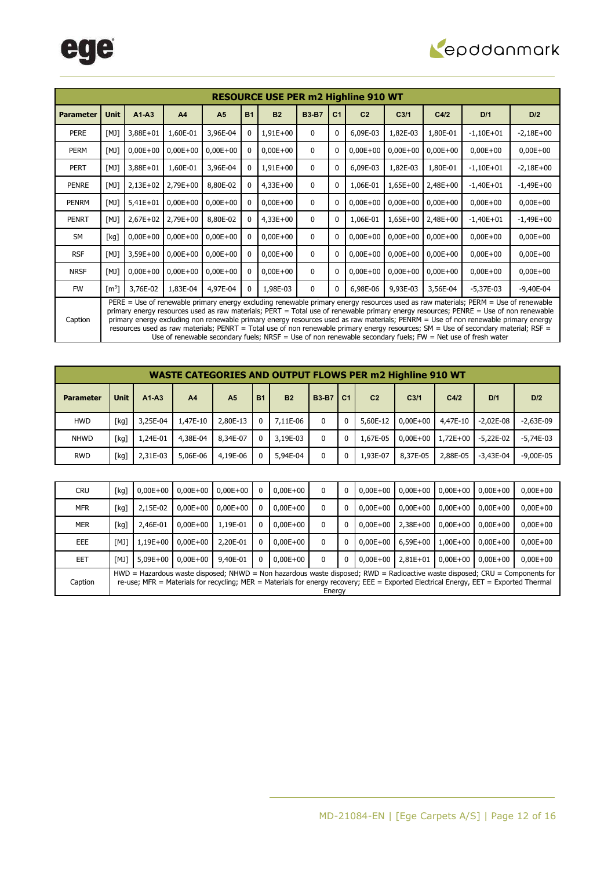

|                  | <b>RESOURCE USE PER m2 Highline 910 WT</b>                                                                                                                                                                                                                                                                                                                                                                                                                                                                                                                                                                                                                                |            |                |                |           |              |              |                |                |                  |            |             |              |
|------------------|---------------------------------------------------------------------------------------------------------------------------------------------------------------------------------------------------------------------------------------------------------------------------------------------------------------------------------------------------------------------------------------------------------------------------------------------------------------------------------------------------------------------------------------------------------------------------------------------------------------------------------------------------------------------------|------------|----------------|----------------|-----------|--------------|--------------|----------------|----------------|------------------|------------|-------------|--------------|
| <b>Parameter</b> | <b>Unit</b>                                                                                                                                                                                                                                                                                                                                                                                                                                                                                                                                                                                                                                                               | $A1 - A3$  | A <sub>4</sub> | A <sub>5</sub> | <b>B1</b> | <b>B2</b>    | <b>B3-B7</b> | C <sub>1</sub> | C <sub>2</sub> | C <sub>3/1</sub> | C4/2       | D/1         | D/2          |
| <b>PERE</b>      | [M]                                                                                                                                                                                                                                                                                                                                                                                                                                                                                                                                                                                                                                                                       | 3,88E+01   | 1,60E-01       | 3,96E-04       |           | $1,91E+00$   | $\mathbf 0$  | 0              | 6,09E-03       | 1,82E-03         | 1,80E-01   | $-1,10E+01$ | $-2,18E+00$  |
| <b>PERM</b>      | [M]                                                                                                                                                                                                                                                                                                                                                                                                                                                                                                                                                                                                                                                                       | $0,00E+00$ | $0,00E+00$     | $0,00E+00$     |           | $0,00E + 00$ | $\mathbf{0}$ | 0              | $0,00E + 00$   | $0,00E+00$       | $0,00E+00$ | $0,00E+00$  | $0,00E+00$   |
| <b>PERT</b>      | [M]                                                                                                                                                                                                                                                                                                                                                                                                                                                                                                                                                                                                                                                                       | 3,88E+01   | 1,60E-01       | 3,96E-04       |           | 1,91E+00     | $\mathbf 0$  | $\mathbf{0}$   | 6,09E-03       | 1,82E-03         | 1,80E-01   | $-1,10E+01$ | $-2,18E+00$  |
| PENRE            | [M]                                                                                                                                                                                                                                                                                                                                                                                                                                                                                                                                                                                                                                                                       | $2,13E+02$ | 2,79E+00       | 8,80E-02       |           | $4,33E+00$   | $\mathbf{0}$ | 0              | 1,06E-01       | $1,65E+00$       | 2,48E+00   | $-1,40E+01$ | $-1,49E+00$  |
| PENRM            | [M]                                                                                                                                                                                                                                                                                                                                                                                                                                                                                                                                                                                                                                                                       | $5,41E+01$ | $0,00E + 00$   | $0,00E+00$     |           | $0,00E+00$   | $\mathbf 0$  | 0              | $0,00E + 00$   | $0,00E+00$       | $0,00E+00$ | $0,00E+00$  | $0,00E+00$   |
| <b>PENRT</b>     | [M]                                                                                                                                                                                                                                                                                                                                                                                                                                                                                                                                                                                                                                                                       | $2,67E+02$ | 2,79E+00       | 8,80E-02       |           | $4,33E+00$   | $\mathbf{0}$ | 0              | 1,06E-01       | $1,65E+00$       | 2,48E+00   | $-1,40E+01$ | $-1,49E+00$  |
| <b>SM</b>        | [kg]                                                                                                                                                                                                                                                                                                                                                                                                                                                                                                                                                                                                                                                                      | $0,00E+00$ | $0,00E+00$     | $0,00E+00$     |           | $0,00E+00$   | $\mathbf 0$  | 0              | $0,00E + 00$   | $0,00E+00$       | $0,00E+00$ | $0,00E+00$  | $0,00E + 00$ |
| <b>RSF</b>       | [M]                                                                                                                                                                                                                                                                                                                                                                                                                                                                                                                                                                                                                                                                       | $3,59E+00$ | $0,00E+00$     | $0,00E+00$     |           | $0,00E+00$   | $\mathbf{0}$ | 0              | $0,00E+00$     | $0,00E+00$       | $0,00E+00$ | $0,00E+00$  | $0,00E+00$   |
| <b>NRSF</b>      | [M]                                                                                                                                                                                                                                                                                                                                                                                                                                                                                                                                                                                                                                                                       | $0,00E+00$ | $0,00E+00$     | $0,00E+00$     |           | $0,00E+00$   | $\mathbf{0}$ | 0              | $0,00E + 00$   | $0,00E+00$       | $0,00E+00$ | $0,00E+00$  | $0,00E+00$   |
| <b>FW</b>        | $\lceil m^3 \rceil$                                                                                                                                                                                                                                                                                                                                                                                                                                                                                                                                                                                                                                                       | 3,76E-02   | 1,83E-04       | 4,97E-04       | 0         | 1,98E-03     | $\mathbf{0}$ | 0              | 6,98E-06       | 9,93E-03         | 3,56E-04   | $-5,37E-03$ | $-9,40E-04$  |
| Caption          | PERE = Use of renewable primary energy excluding renewable primary energy resources used as raw materials; PERM = Use of renewable<br>primary energy resources used as raw materials; PERT = Total use of renewable primary energy resources; PENRE = Use of non renewable<br>primary energy excluding non renewable primary energy resources used as raw materials; PENRM = Use of non renewable primary energy<br>resources used as raw materials; PENRT = Total use of non renewable primary energy resources; SM = Use of secondary material; RSF =<br>Use of renewable secondary fuels; $NRSF =$ Use of non renewable secondary fuels; $FW = Net$ use of fresh water |            |                |                |           |              |              |                |                |                  |            |             |              |

|                  | <b>WASTE CATEGORIES AND OUTPUT FLOWS PER m2 Highline 910 WT</b> |          |                |                |           |           |              |                |                |                  |              |             |               |
|------------------|-----------------------------------------------------------------|----------|----------------|----------------|-----------|-----------|--------------|----------------|----------------|------------------|--------------|-------------|---------------|
| <b>Parameter</b> | <b>Unit</b>                                                     | $A1-A3$  | A <sub>4</sub> | A <sub>5</sub> | <b>B1</b> | <b>B2</b> | <b>B3-B7</b> | C <sub>1</sub> | C <sub>2</sub> | C <sub>3/1</sub> | C4/2         | D/1         | D/2           |
| <b>HWD</b>       | [kg]                                                            | 3,25E-04 | 1.47E-10       | 2,80E-13       |           | 7.11E-06  | 0            | 0              | 5,60E-12       | $0.00E + 00$     | 4,47E-10     | $-2.02E-08$ | $-2.63E-09$   |
| <b>NHWD</b>      | [kg]                                                            | 1,24E-01 | 4,38E-04       | 8,34E-07       | 0         | 3,19E-03  | 0            | $\mathbf{0}$   | 1,67E-05       | $0.00E + 00$     | $1.72E + 00$ | $-5.22E-02$ | $-5.74E-03$   |
| <b>RWD</b>       | [kg]                                                            | 2,31E-03 | 5,06E-06       | 4,19E-06       |           | 5,94E-04  | 0            | 0              | 1,93E-07       | 8,37E-05         | 2,88E-05     | $-3.43E-04$ | $-9.00E - 05$ |

| <b>CRU</b> | [kg]                                                                                                                                                                                                                                                                            | $0.00E + 00$ | $0.00E + 00$ | $0.00E + 00$ | 0  | $0,00E+00$   | 0            | 0 | $0,00E+00$   | $0,00E+00$   | $0.00E + 00$ | $0.00E + 00$ | $0,00E+00$ |
|------------|---------------------------------------------------------------------------------------------------------------------------------------------------------------------------------------------------------------------------------------------------------------------------------|--------------|--------------|--------------|----|--------------|--------------|---|--------------|--------------|--------------|--------------|------------|
| MFR        | [kg]                                                                                                                                                                                                                                                                            | 2,15E-02     | $0.00E + 00$ | $0,00E+00$   | -0 | $0,00E+00$   | 0            | 0 | $0.00E + 00$ | $0.00E + 00$ | $0.00E + 00$ | $0.00E + 00$ | $0,00E+00$ |
| <b>MER</b> | [kg]                                                                                                                                                                                                                                                                            | 2.46E-01     | $0.00E + 00$ | 1.19E-01     | 0  | $0,00E+00$   | 0            | 0 | $0.00E + 00$ | $2.38E + 00$ | $0.00E + 00$ | $0.00E + 00$ | $0,00E+00$ |
| EEE        | [M]                                                                                                                                                                                                                                                                             | 1,19E+00     | $0.00E + 00$ | 2,20E-01     | 0  | $0.00E + 00$ | 0            | 0 | $0.00E + 00$ | $6.59E + 00$ | $1.00E + 00$ | $0.00E + 00$ | $0,00E+00$ |
| EET        | [M]                                                                                                                                                                                                                                                                             | $5.09E + 00$ | $0.00E + 00$ | 9,40E-01     | 0  | $0.00E + 00$ | $\mathbf{0}$ | 0 | $0.00E + 00$ | $2.81E + 01$ | $0.00E + 00$ | $0.00E + 00$ | $0,00E+00$ |
| Caption    | $HWD =$ Hazardous waste disposed; NHWD = Non hazardous waste disposed; RWD = Radioactive waste disposed; CRU = Components for<br>re-use; MFR = Materials for recycling; MER = Materials for energy recovery; EEE = Exported Electrical Energy, EET = Exported Thermal<br>Energy |              |              |              |    |              |              |   |              |              |              |              |            |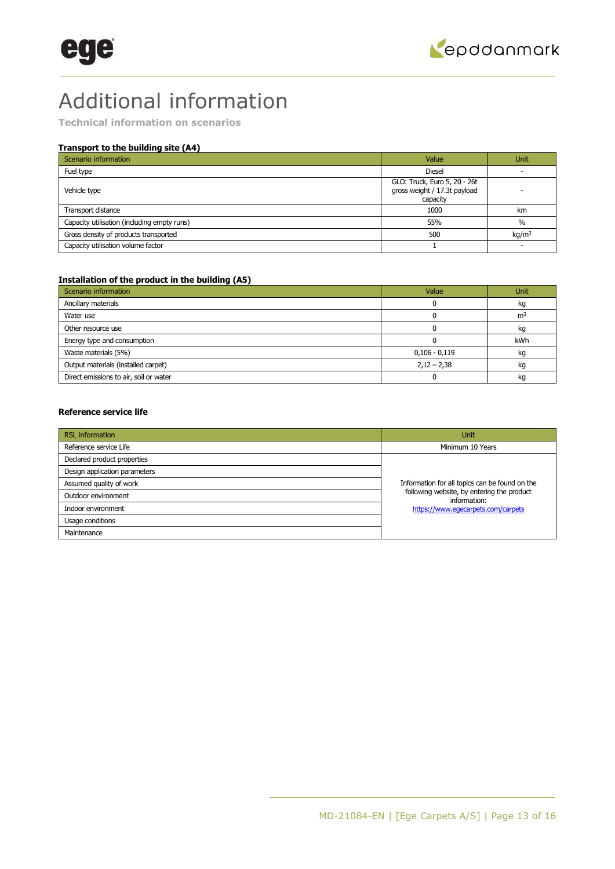## Additional information

**Technical information on scenarios** 

### **Transport to the building site (A4)**

| Scenario information                        | Value                                                                    | <b>Unit</b>       |
|---------------------------------------------|--------------------------------------------------------------------------|-------------------|
| Fuel type                                   | <b>Diesel</b>                                                            |                   |
| Vehicle type                                | GLO: Truck, Euro 5, 20 - 26t<br>gross weight / 17.3t payload<br>capacity |                   |
| Transport distance                          | 1000                                                                     | km                |
| Capacity utilisation (including empty runs) | 55%                                                                      | $\frac{0}{0}$     |
| Gross density of products transported       | 500                                                                      | kg/m <sup>3</sup> |
| Capacity utilisation volume factor          |                                                                          |                   |

### **Installation of the product in the building (A5)**

| Scenario information                   | Value           | <b>Unit</b>    |
|----------------------------------------|-----------------|----------------|
| Ancillary materials                    |                 | kg             |
| Water use                              |                 | m <sup>3</sup> |
| Other resource use                     |                 | kg             |
| Energy type and consumption            |                 | kWh            |
| Waste materials (5%)                   | $0,106 - 0,119$ | kg             |
| Output materials (installed carpet)    | $2,12 - 2,38$   | kg             |
| Direct emissions to air, soil or water |                 | kg             |

### **Reference service life**

| <b>RSL</b> information        | <b>Unit</b>                                                |
|-------------------------------|------------------------------------------------------------|
| Reference service Life        | Minimum 10 Years                                           |
| Declared product properties   |                                                            |
| Design application parameters |                                                            |
| Assumed quality of work       | Information for all topics can be found on the             |
| Outdoor environment           | following website, by entering the product<br>information: |
| Indoor environment            | https://www.eqecarpets.com/carpets                         |
| Usage conditions              |                                                            |
| Maintenance                   |                                                            |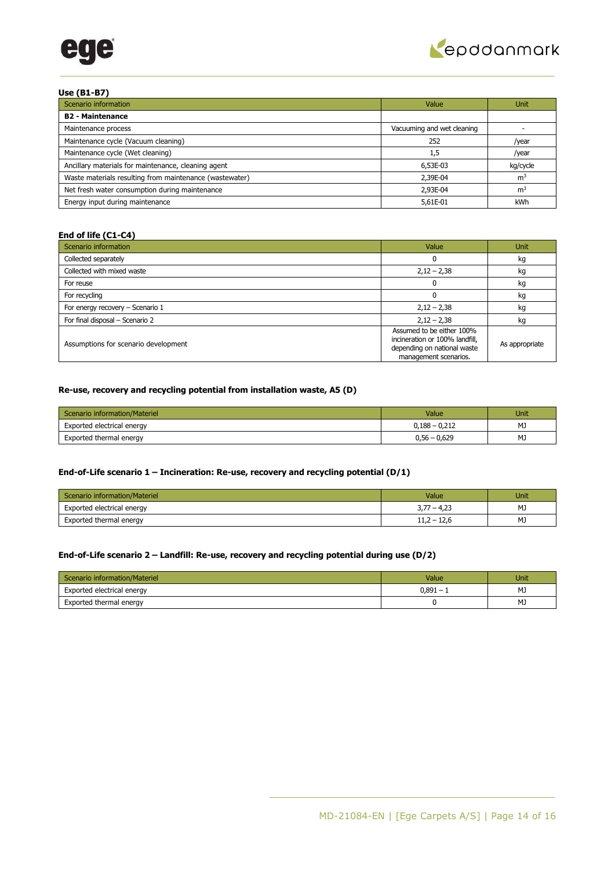



### **Use (B1-B7)**

| Scenario information                                    | Value                      | <b>Unit</b>    |
|---------------------------------------------------------|----------------------------|----------------|
| <b>B2 - Maintenance</b>                                 |                            |                |
| Maintenance process                                     | Vacuuming and wet cleaning |                |
| Maintenance cycle (Vacuum cleaning)                     | 252                        | /year          |
| Maintenance cycle (Wet cleaning)                        | 1,5                        | /year          |
| Ancillary materials for maintenance, cleaning agent     | 6,53E-03                   | kg/cycle       |
| Waste materials resulting from maintenance (wastewater) | 2,39E-04                   | m <sup>3</sup> |
| Net fresh water consumption during maintenance          | 2.93E-04                   | m <sup>3</sup> |
| Energy input during maintenance                         | 5,61E-01                   | kWh            |

### **End of life (C1-C4)**

| Scenario information                 | Value                                                                                                               | <b>Unit</b>    |
|--------------------------------------|---------------------------------------------------------------------------------------------------------------------|----------------|
| Collected separately                 |                                                                                                                     | kg             |
| Collected with mixed waste           | $2,12 - 2,38$                                                                                                       | kg             |
| For reuse                            |                                                                                                                     | kg             |
| For recycling                        |                                                                                                                     | kg             |
| For energy recovery - Scenario 1     | $2,12 - 2,38$                                                                                                       | kg             |
| For final disposal - Scenario 2      | $2,12 - 2,38$                                                                                                       | kg             |
| Assumptions for scenario development | Assumed to be either 100%<br>incineration or 100% landfill,<br>depending on national waste<br>management scenarios. | As appropriate |

### **Re-use, recovery and recycling potential from installation waste, A5 (D)**

| Scenario information/Materiel | Value           | Unit |
|-------------------------------|-----------------|------|
| Exported electrical energy    | $0,188 - 0,212$ | MJ   |
| Exported thermal energy       | $0,56 - 0,629$  | MJ   |

### **End-of-Life scenario 1 – Incineration: Re-use, recovery and recycling potential (D/1)**

| Scenario information/Materiel | Value         | Unit |
|-------------------------------|---------------|------|
| Exported electrical energy    | $3,77 - 4,23$ | MJ   |
| Exported thermal energy       | $11,2 - 12,6$ | MJ   |

### **End-of-Life scenario 2 – Landfill: Re-use, recovery and recycling potential during use (D/2)**

| Scenario information/Materiel | Value     | Unit |
|-------------------------------|-----------|------|
| Exported electrical energy    | $0,891 -$ | MJ   |
| Exported thermal energy       |           | MJ   |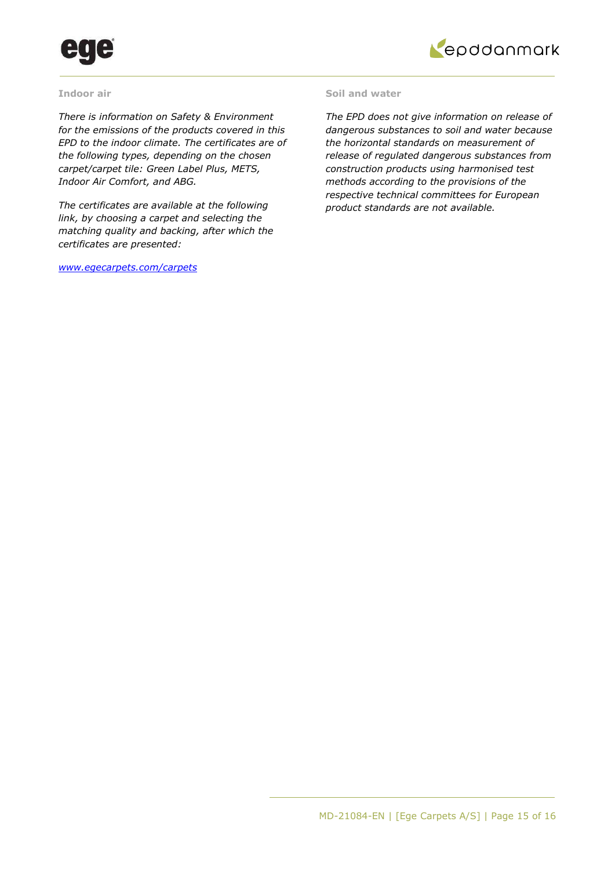



### **Indoor air**

*There is information on Safety & Environment for the emissions of the products covered in this EPD to the indoor climate. The certificates are of the following types, depending on the chosen carpet/carpet tile: Green Label Plus, METS, Indoor Air Comfort, and ABG.* 

*The certificates are available at the following link, by choosing a carpet and selecting the matching quality and backing, after which the certificates are presented:* 

*[www.egecarpets.com/carpets](http://www.egecarpets.com/carpets)* 

### **Soil and water**

*The EPD does not give information on release of dangerous substances to soil and water because the horizontal standards on measurement of release of regulated dangerous substances from construction products using harmonised test methods according to the provisions of the respective technical committees for European product standards are not available.*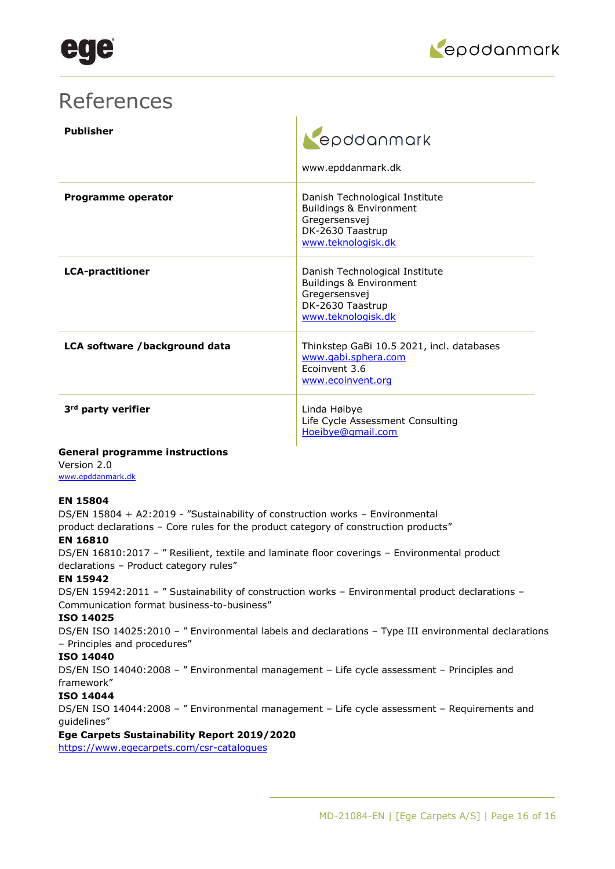

### References

| <b>Publisher</b>               | epddanmark<br>www.epddanmark.dk                                                                                                 |
|--------------------------------|---------------------------------------------------------------------------------------------------------------------------------|
| Programme operator             | Danish Technological Institute<br>Buildings & Environment<br>Gregersensvej<br>DK-2630 Taastrup<br>www.teknologisk.dk            |
| <b>LCA-practitioner</b>        | Danish Technological Institute<br><b>Buildings &amp; Environment</b><br>Gregersensvej<br>DK-2630 Taastrup<br>www.teknologisk.dk |
| LCA software /background data  | Thinkstep GaBi 10.5 2021, incl. databases<br>www.gabi.sphera.com<br>Fcoinvent 3.6<br>www.ecoinvent.org                          |
| 3 <sup>rd</sup> party verifier | Linda Høibye<br>Life Cycle Assessment Consulting<br>Hoeibye@gmail.com                                                           |

### **General programme instructions**

Version 2.0 [www.epddanmark.dk](http://www.epddanmark.dk/)

### **EN 15804**

DS/EN 15804 + A2:2019 - "Sustainability of construction works – Environmental

product declarations – Core rules for the product category of construction products"

### **EN 16810**

DS/EN 16810:2017 – " Resilient, textile and laminate floor coverings – Environmental product declarations – Product category rules"

### **EN 15942**

DS/EN 15942:2011 - " Sustainability of construction works - Environmental product declarations -Communication format business-to-business"

### **ISO 14025**

DS/EN ISO 14025:2010 – " Environmental labels and declarations – Type III environmental declarations – Principles and procedures"

### **ISO 14040**

DS/EN ISO 14040:2008 – " Environmental management – Life cycle assessment – Principles and framework"

### **ISO 14044**

DS/EN ISO 14044:2008 – " Environmental management – Life cycle assessment – Requirements and guidelines"

### **Ege Carpets Sustainability Report 2019/2020**

<https://www.egecarpets.com/csr-catalogues>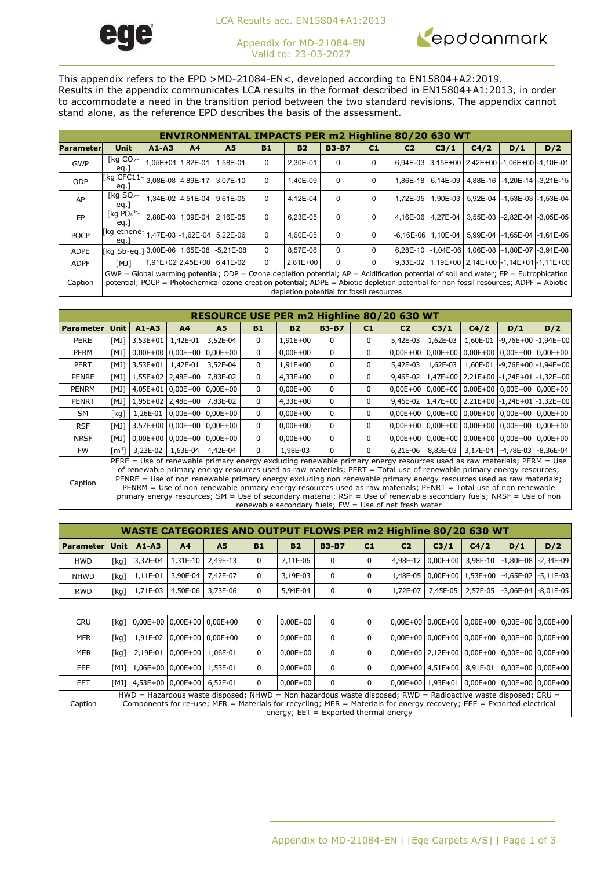

LCA Results acc. EN15804+A1:2013

Appendix for MD-21084-EN Valid to: 23-03-2027



This appendix refers to the EPD >MD-21084-EN<, developed according to EN15804+A2:2019. Results in the appendix communicates LCA results in the format described in EN15804+A1:2013, in order to accommodate a need in the transition period between the two standard revisions. The appendix cannot stand alone, as the reference EPD describes the basis of the assessment.

|             | <b>ENVIRONMENTAL IMPACTS PER m2 Highline 80/20 630 WT</b>                                                                                                                                                                                                                           |           |                            |                            |             |                                          |              |          |                |      |      |     |                                                        |  |
|-------------|-------------------------------------------------------------------------------------------------------------------------------------------------------------------------------------------------------------------------------------------------------------------------------------|-----------|----------------------------|----------------------------|-------------|------------------------------------------|--------------|----------|----------------|------|------|-----|--------------------------------------------------------|--|
| Parameter   | <b>Unit</b>                                                                                                                                                                                                                                                                         | $A1 - A3$ | A <sub>4</sub>             | A5                         | <b>B1</b>   | <b>B2</b>                                | <b>B3-B7</b> | C1       | C <sub>2</sub> | C3/1 | C4/2 | D/1 | D/2                                                    |  |
| <b>GWP</b>  | [ $kg CO2$ -<br>eq.                                                                                                                                                                                                                                                                 |           | 1,05E+01 1,82E-01 1,58E-01 |                            | $\mathbf 0$ | 2,30E-01                                 | $\Omega$     | 0        |                |      |      |     | 6,94E-03 3,15E+00 2,42E+00 -1,06E+00 -1,10E-01         |  |
| ODP         | [kg CFC11-<br>eq.                                                                                                                                                                                                                                                                   |           |                            | 3,08E-08 4,89E-17 3,07E-10 | $\mathbf 0$ | 1.40E-09                                 | $\Omega$     | 0        |                |      |      |     | 1,86E-18 6,14E-09 4,88E-16 -1,20E-14 -3,21E-15         |  |
| AP          | $\lceil$ kg SO <sub>2</sub> -<br>eq.                                                                                                                                                                                                                                                |           |                            | 1,34E-02 4,51E-04 9,61E-05 | $\mathbf 0$ | 4.12E-04                                 | $\Omega$     | 0        | 1.72E-05       |      |      |     | 1.90E-03 5.92E-04 -1.53E-03 -1.53E-04                  |  |
| EP          | [kg $PO4^{3-}$<br>eq.                                                                                                                                                                                                                                                               |           |                            | 2.88E-03 1.09E-04 2.16E-05 | $\mathbf 0$ | 6.23E-05                                 | $\Omega$     | $\Omega$ |                |      |      |     | 4.16E-06   4.27E-04   3.55E-03   -2.82E-04   -3.05E-05 |  |
| <b>POCP</b> | [kg ethene-1,47E-03 -1,62E-04 5,22E-06<br>eg.                                                                                                                                                                                                                                       |           |                            |                            | $\Omega$    | 4.60E-05                                 | $\Omega$     | $\Omega$ |                |      |      |     | -6.16E-06 1.10E-04 5.99E-04 -1.65E-04 -1.61E-05        |  |
| <b>ADPE</b> | [kg Sb-eg.] 3,00E-06 1,65E-08 -5,21E-08                                                                                                                                                                                                                                             |           |                            |                            | $\Omega$    | 8,57E-08                                 | $\Omega$     | $\Omega$ |                |      |      |     | 6,28E-10 -1,04E-06 1,06E-08 -1,80E-07 -3,91E-08        |  |
| <b>ADPF</b> | <b>TKM</b>                                                                                                                                                                                                                                                                          |           |                            | 1,91E+02 2,45E+00 6,41E-02 | $\mathbf 0$ | $2.81E+00$                               | $\Omega$     | $\Omega$ |                |      |      |     | 9.33E-02 1.19E+00 2.14E+00 -1.14E+01 -1.11E+00         |  |
| Caption     | $GWP = Global$ warming potential; ODP = Ozone depletion potential; $AP =$ Acidification potential of soil and water; $EP =$ Eutrophication<br>potential; POCP = Photochemical ozone creation potential; ADPE = Abiotic depletion potential for non fossil resources; ADPF = Abiotic |           |                            |                            |             | depletion potential for fossil resources |              |          |                |      |      |     |                                                        |  |

|                  | RESOURCE USE PER m2 Highline 80/20 630 WT                                                                                                                                                                                                                                                                                                                                                                                                                                                                                                                                                                                                                                  |                   |                            |                              |              |              |              |                |                |          |      |     |                                                                |
|------------------|----------------------------------------------------------------------------------------------------------------------------------------------------------------------------------------------------------------------------------------------------------------------------------------------------------------------------------------------------------------------------------------------------------------------------------------------------------------------------------------------------------------------------------------------------------------------------------------------------------------------------------------------------------------------------|-------------------|----------------------------|------------------------------|--------------|--------------|--------------|----------------|----------------|----------|------|-----|----------------------------------------------------------------|
| <b>Parameter</b> | Unit                                                                                                                                                                                                                                                                                                                                                                                                                                                                                                                                                                                                                                                                       | $A1 - A3$         | A <sub>4</sub>             | A <sub>5</sub>               | <b>B1</b>    | <b>B2</b>    | <b>B3-B7</b> | C <sub>1</sub> | C <sub>2</sub> | C3/1     | C4/2 | D/1 | D/2                                                            |
| <b>PERE</b>      | [MJ]                                                                                                                                                                                                                                                                                                                                                                                                                                                                                                                                                                                                                                                                       | 3,53E+01 1,42E-01 |                            | 3,52E-04                     | 0            | $1,91E+00$   | 0            | 0              | 5,42E-03       | 1,62E-03 |      |     | 1,60E-01 -9,76E+00 -1,94E+00                                   |
| <b>PERM</b>      | [MJ]                                                                                                                                                                                                                                                                                                                                                                                                                                                                                                                                                                                                                                                                       |                   |                            | $0,00E+00$ 0,00E+00 0,00E+00 | 0            | $0,00E+00$   | 0            | 0              | $0.00E + 00$   |          |      |     | $0,00E+00$   $0,00E+00$   $0,00E+00$   $0,00E+00$              |
| <b>PERT</b>      | <b>FMJ1</b>                                                                                                                                                                                                                                                                                                                                                                                                                                                                                                                                                                                                                                                                | 3,53E+01 1,42E-01 |                            | 3,52E-04                     | 0            | $1,91E+00$   | $\mathbf{0}$ | $\mathbf{0}$   | 5,42E-03       | 1,62E-03 |      |     | 1,60E-01 -9,76E+00 -1,94E+00                                   |
| <b>PENRE</b>     | [MJ]                                                                                                                                                                                                                                                                                                                                                                                                                                                                                                                                                                                                                                                                       |                   | 1,55E+02 2,48E+00          | 7,83E-02                     | 0            | $4,33E+00$   | 0            | 0              |                |          |      |     | 9,46E-02   1,47E+00   2,21E+00   -1,24E+01   -1,32E+00         |
| PENRM            | [MJ]                                                                                                                                                                                                                                                                                                                                                                                                                                                                                                                                                                                                                                                                       |                   |                            | 4,05E+01 0,00E+00 0,00E+00   | 0            | $0,00E+00$   | 0            | 0              |                |          |      |     | $0,00E+00$   $0,00E+00$   $0,00E+00$   $0,00E+00$   $0,00E+00$ |
| <b>PENRT</b>     | [MJ]                                                                                                                                                                                                                                                                                                                                                                                                                                                                                                                                                                                                                                                                       |                   | 1,95E+02 2,48E+00 7,83E-02 |                              | 0            | $4,33E+00$   | 0            | 0              |                |          |      |     | 9,46E-02   1,47E+00   2,21E+00   -1,24E+01   -1,32E+00         |
| <b>SM</b>        | [kq]                                                                                                                                                                                                                                                                                                                                                                                                                                                                                                                                                                                                                                                                       |                   |                            | 1,26E-01 0,00E+00 0,00E+00   | $\mathbf{0}$ | $0,00E+00$   | $\mathbf{0}$ | $\mathbf 0$    |                |          |      |     | 0,00E+00   0,00E+00   0,00E+00   0,00E+00   0,00E+00           |
| <b>RSF</b>       | [M]                                                                                                                                                                                                                                                                                                                                                                                                                                                                                                                                                                                                                                                                        |                   |                            | $3,57E+00$ 0,00E+00 0,00E+00 | 0            | $0,00E+00$   | 0            | 0              |                |          |      |     | $0,00E+00$   $0,00E+00$   $0,00E+00$   $0,00E+00$   $0,00E+00$ |
| <b>NRSF</b>      | [MJ]                                                                                                                                                                                                                                                                                                                                                                                                                                                                                                                                                                                                                                                                       |                   |                            | $0.00E+00$ 0.00E+00 0.00E+00 | 0            | $0.00E + 00$ | $\mathbf{0}$ | 0              |                |          |      |     | $0,00E+00$   $0,00E+00$   $0,00E+00$   $0,00E+00$   $0,00E+00$ |
| <b>FW</b>        | $\text{Im}^3$                                                                                                                                                                                                                                                                                                                                                                                                                                                                                                                                                                                                                                                              |                   | 3,23E-02   1,63E-04        | 4,42E-04                     | 0            | 1,98E-03     | 0            | $\mathbf 0$    | $6,21E-06$     |          |      |     | 8,83E-03 3,17E-04 -4,78E-03 -8,36E-04                          |
| Caption          | PERE = Use of renewable primary energy excluding renewable primary energy resources used as raw materials; PERM = Use<br>of renewable primary energy resources used as raw materials; PERT = Total use of renewable primary energy resources;<br>PENRE = Use of non renewable primary energy excluding non renewable primary energy resources used as raw materials;<br>PENRM = Use of non renewable primary energy resources used as raw materials; PENRT = Total use of non renewable<br>primary energy resources; SM = Use of secondary material; RSF = Use of renewable secondary fuels; NRSF = Use of non<br>renewable secondary fuels; $FW = Use$ of net fresh water |                   |                            |                              |              |              |              |                |                |          |      |     |                                                                |

|                               |  |                |                                                            |           | <b>WASTE CATEGORIES AND OUTPUT FLOWS PER m2 Highline 80/20 630 WT</b> |              |    |                |                  |      |                                                |     |
|-------------------------------|--|----------------|------------------------------------------------------------|-----------|-----------------------------------------------------------------------|--------------|----|----------------|------------------|------|------------------------------------------------|-----|
| <b>Parameter Unit   A1-A3</b> |  | A <sub>4</sub> | A5                                                         | <b>B1</b> | <b>B2</b>                                                             | <b>B3-B7</b> | C1 | C <sub>2</sub> | C <sub>3/1</sub> | C4/2 | D/1                                            | D/2 |
| <b>HWD</b>                    |  |                | $\lceil \text{kg} \rceil$ 3,37E-04   1,31E-10   2,49E-13   |           | $7.11E-06$                                                            | $^{\circ}$   |    |                |                  |      | 4,98E-12 0,00E+00 3,98E-10 -1,80E-08 -2,34E-09 |     |
| <b>NHWD</b>                   |  |                | $\lceil \text{kg} \rceil$   1,11E-01   3,90E-04   7,42E-07 |           | 3,19E-03                                                              | 0            |    |                |                  |      | 1,48E-05 0,00E+00 1,53E+00 -4,65E-02 -5,11E-03 |     |
| <b>RWD</b>                    |  |                | $\lceil \log \rfloor$ 1,71E-03 4,50E-06 3,73E-06           |           | 5,94E-04                                                              | $\mathbf{0}$ |    |                |                  |      | 1,72E-07 7,45E-05 2,57E-05 -3,06E-04 -8,01E-05 |     |

| <b>CRU</b> |      |                                                                                                                                                                                                                                                                                 | [kg] 0,00E+00 0,00E+00 0,00E+00         |  |  | $0.00E + 00$ | 0 |  |  |  |  | 0,00E+00   0,00E+00   0,00E+00   0,00E+00   0,00E+00           |  |
|------------|------|---------------------------------------------------------------------------------------------------------------------------------------------------------------------------------------------------------------------------------------------------------------------------------|-----------------------------------------|--|--|--------------|---|--|--|--|--|----------------------------------------------------------------|--|
| <b>MFR</b> | [kq] |                                                                                                                                                                                                                                                                                 | 1,91E-02 0,00E+00 0,00E+00              |  |  | $0.00E + 00$ | 0 |  |  |  |  | $0,00E+00$   $0,00E+00$   $0,00E+00$   $0,00E+00$   $0,00E+00$ |  |
| <b>MER</b> | [kq] |                                                                                                                                                                                                                                                                                 | 2.19E-01 0.00E+00 1.06E-01              |  |  | $0.00E + 00$ | 0 |  |  |  |  | $0,00E+00$   2,12E+00   0,00E+00   0,00E+00   0,00E+00         |  |
| <b>EEE</b> |      |                                                                                                                                                                                                                                                                                 | $[MJ]$   1,06E+00   0,00E+00   1,53E-01 |  |  | $0.00E + 00$ | 0 |  |  |  |  | 0,00E+00 4,51E+00 8,91E-01 0,00E+00 0,00E+00                   |  |
| EET        |      |                                                                                                                                                                                                                                                                                 | [MJ] 4,53E+00 0,00E+00 6,52E-01         |  |  | $0.00E + 00$ | 0 |  |  |  |  | $0,00E+00$   1,93E+01   0,00E+00   0,00E+00   0,00E+00         |  |
| Caption    |      | HWD = Hazardous waste disposed; NHWD = Non hazardous waste disposed; RWD = Radioactive waste disposed; CRU =<br>Components for re-use; MFR = Materials for recycling; MER = Materials for energy recovery; EEE = Exported electrical<br>energy; $EET = Exported thermal energy$ |                                         |  |  |              |   |  |  |  |  |                                                                |  |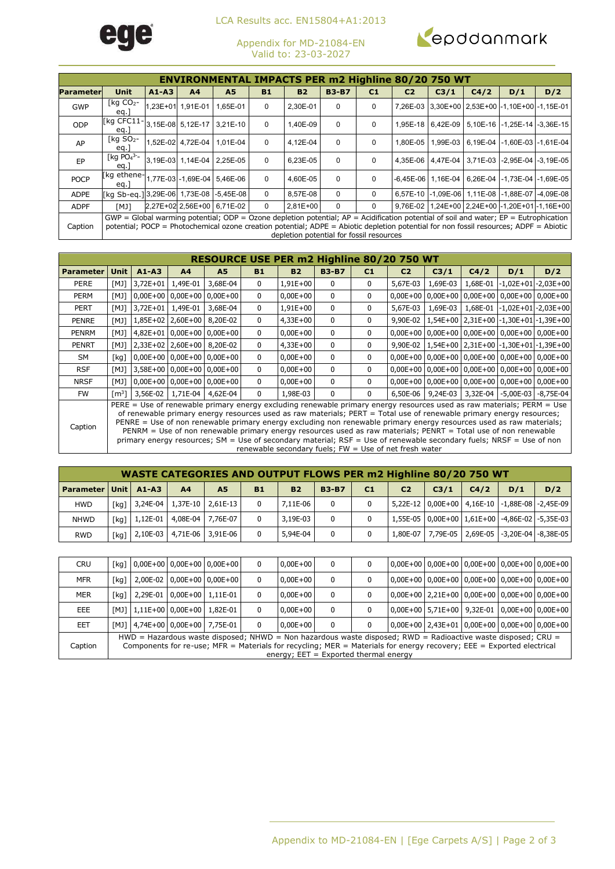

LCA Results acc. EN15804+A1:2013

Appendix for MD-21084-EN Valid to: 23-03-2027



|             | <b>ENVIRONMENTAL IMPACTS PER m2 Highline 80/20 750 WT</b>                                                                                                                                                                                                                           |  |                            |                            |             |                                          |          |          |          |                             |  |                                                |                                                        |  |  |
|-------------|-------------------------------------------------------------------------------------------------------------------------------------------------------------------------------------------------------------------------------------------------------------------------------------|--|----------------------------|----------------------------|-------------|------------------------------------------|----------|----------|----------|-----------------------------|--|------------------------------------------------|--------------------------------------------------------|--|--|
|             | <b>A5</b><br><b>B3-B7</b><br>D/2<br><b>Unit</b><br>A <sub>4</sub><br><b>B1</b><br><b>B2</b><br>C4/2<br>$A1 - A3$<br>C <sub>1</sub><br>C <sub>2</sub><br>C <sub>3/1</sub><br>D/1                                                                                                     |  |                            |                            |             |                                          |          |          |          |                             |  |                                                |                                                        |  |  |
| Parameterl  |                                                                                                                                                                                                                                                                                     |  |                            |                            |             |                                          |          |          |          |                             |  |                                                |                                                        |  |  |
| <b>GWP</b>  | $\lceil$ kg CO <sub>2</sub> -<br>eq.                                                                                                                                                                                                                                                |  | 1,23E+01 1,91E-01          | 1,65E-01                   | $\mathbf 0$ | 2,30E-01                                 | $\Omega$ | $\Omega$ |          |                             |  | 7,26E-03 3,30E+00 2,53E+00 -1,10E+00 -1,15E-01 |                                                        |  |  |
| ODP         | $[kq CFC11-$<br>eq.                                                                                                                                                                                                                                                                 |  | 3,15E-08 5,12E-17 3,21E-10 |                            | $\mathbf 0$ | 1.40E-09                                 | $\Omega$ | $\Omega$ |          |                             |  |                                                | 1,95E-18   6,42E-09   5,10E-16   -1,25E-14   -3,36E-15 |  |  |
| AP          | $\lceil$ kg SO <sub>2</sub> -<br>eg.                                                                                                                                                                                                                                                |  | 1.52E-02 4.72E-04 1.01E-04 |                            | $\mathbf 0$ | 4.12E-04                                 | $\Omega$ | $\Omega$ | 1.80E-05 | 1.99E-03                    |  |                                                | 6.19E-04 -1.60E-03 -1.61E-04                           |  |  |
| EP          | [kg $PO4$ <sup>3-</sup> -<br>eq.                                                                                                                                                                                                                                                    |  | 3.19E-03 1.14E-04 2.25E-05 |                            | $\mathbf 0$ | 6.23E-05                                 | $\Omega$ | $\Omega$ |          |                             |  |                                                | 4.35E-06   4.47E-04   3.71E-03   -2.95E-04   -3.19E-05 |  |  |
| <b>POCP</b> | [kg ethene-1,77E-03 -1,69E-04 5,46E-06<br>eg.                                                                                                                                                                                                                                       |  |                            |                            | $\mathbf 0$ | 4.60E-05                                 | $\Omega$ | $\Omega$ |          | $-6.45E - 06$   1.16E $-04$ |  |                                                | 6.26E-04 -1.73E-04 -1.69E-05                           |  |  |
| <b>ADPE</b> | [kg Sb-eg.] 3,29E-06 1,73E-08 -5,45E-08                                                                                                                                                                                                                                             |  |                            |                            | $\mathbf 0$ | 8,57E-08                                 | $\Omega$ | $\Omega$ |          |                             |  |                                                | 6,57E-10 -1,09E-06 1,11E-08 -1,88E-07 -4,09E-08        |  |  |
| <b>ADPF</b> | <b>TKM</b>                                                                                                                                                                                                                                                                          |  |                            | 2,27E+02 2,56E+00 6,71E-02 | $\mathbf 0$ | $2.81E+00$                               | $\Omega$ | $\Omega$ |          |                             |  |                                                | 9.76E-02 1.24E+00 2.24E+00 -1.20E+01 -1.16E+00         |  |  |
| Caption     | $GWP = Global$ warming potential; ODP = Ozone depletion potential; $AP =$ Acidification potential of soil and water; $EP =$ Eutrophication<br>potential; POCP = Photochemical ozone creation potential; ADPE = Abiotic depletion potential for non fossil resources; ADPF = Abiotic |  |                            |                            |             | depletion potential for fossil resources |          |          |          |                             |  |                                                |                                                        |  |  |

|                  | RESOURCE USE PER m2 Highline 80/20 750 WT                                                                                                                                                                                                                                                                                                                                                                                                                                               |                                       |                            |                              |              |              |              |                |                |          |                   |                                                                |                                                        |  |  |
|------------------|-----------------------------------------------------------------------------------------------------------------------------------------------------------------------------------------------------------------------------------------------------------------------------------------------------------------------------------------------------------------------------------------------------------------------------------------------------------------------------------------|---------------------------------------|----------------------------|------------------------------|--------------|--------------|--------------|----------------|----------------|----------|-------------------|----------------------------------------------------------------|--------------------------------------------------------|--|--|
| <b>Parameter</b> | Unit                                                                                                                                                                                                                                                                                                                                                                                                                                                                                    | $A1 - A3$                             | A <sup>4</sup>             | A <sub>5</sub>               | <b>B1</b>    | <b>B2</b>    | <b>B3-B7</b> | C <sub>1</sub> | C <sub>2</sub> | C3/1     | C4/2              | D/1                                                            | D/2                                                    |  |  |
| <b>PERE</b>      | [MJ]                                                                                                                                                                                                                                                                                                                                                                                                                                                                                    | $3,72E+01$                            | 1,49E-01                   | 3,68E-04                     | 0            | 1,91E+00     | 0            | 0              | 5,67E-03       | 1,69E-03 |                   |                                                                | 1,68E-01 -1,02E+01 -2,03E+00                           |  |  |
| PERM             | [MJ]                                                                                                                                                                                                                                                                                                                                                                                                                                                                                    |                                       |                            | $0,00E+00$ 0,00E+00 0,00E+00 | $\mathbf{0}$ | $0,00E+00$   | 0            | 0              |                |          |                   |                                                                | $0,00E+00$ 0,00E+00 0,00E+00 0,00E+00 0,00E+00         |  |  |
| <b>PERT</b>      | [MJ]                                                                                                                                                                                                                                                                                                                                                                                                                                                                                    | $3.72E + 01$                          | 1,49E-01                   | 3,68E-04                     | 0            | 1,91E+00     | 0            | 0              | 5,67E-03       | 1,69E-03 |                   |                                                                | $1,68E-01$ -1,02E+01 -2,03E+00                         |  |  |
| <b>PENRE</b>     | [MJ]                                                                                                                                                                                                                                                                                                                                                                                                                                                                                    |                                       | 1,85E+02 2,60E+00 8,20E-02 |                              | $\mathbf{0}$ | $4,33E+00$   | 0            | 0              |                |          |                   |                                                                | 9,90E-02   1,54E+00   2,31E+00   -1,30E+01   -1,39E+00 |  |  |
| PENRM            | [MJ]                                                                                                                                                                                                                                                                                                                                                                                                                                                                                    |                                       |                            | 4,82E+01 0,00E+00 0,00E+00   | $\mathbf{0}$ | $0,00E+00$   | 0            | 0              |                |          |                   |                                                                | $0,00E+00$ 0,00E+00 0,00E+00 0,00E+00 0,00E+00         |  |  |
| <b>PENRT</b>     | [MJ]                                                                                                                                                                                                                                                                                                                                                                                                                                                                                    |                                       |                            | 2,33E+02 2,60E+00 8,20E-02   | $\mathbf{0}$ | $4,33E+00$   | 0            | 0              |                |          |                   | 9,90E-02   1,54E+00   2,31E+00   -1,30E+01   -1,39E+00         |                                                        |  |  |
| SM               | [kq]                                                                                                                                                                                                                                                                                                                                                                                                                                                                                    |                                       |                            | $0,00E+00$ 0,00E+00 0,00E+00 | $\mathbf{0}$ | $0,00E+00$   | 0            | 0              |                |          |                   | $0,00E+00$   $0,00E+00$   $0,00E+00$   $0,00E+00$   $0,00E+00$ |                                                        |  |  |
| <b>RSF</b>       | [MJ]                                                                                                                                                                                                                                                                                                                                                                                                                                                                                    |                                       |                            | $3,58E+00$ 0,00E+00 0,00E+00 | 0            | $0,00E+00$   | 0            | 0              |                |          |                   | $0,00E+00$   $0,00E+00$   $0,00E+00$   $0,00E+00$   $0,00E+00$ |                                                        |  |  |
| <b>NRSF</b>      | [MJ]                                                                                                                                                                                                                                                                                                                                                                                                                                                                                    | $0,00E+00$ 0,00E+00 0,00E+00          |                            |                              | 0            | $0.00E + 00$ | 0            | 0              |                |          |                   | $0,00E+00$   $0,00E+00$   $0,00E+00$   $0,00E+00$   $0,00E+00$ |                                                        |  |  |
| <b>FW</b>        |                                                                                                                                                                                                                                                                                                                                                                                                                                                                                         | $\lceil m^3 \rceil$ 3,56E-02 1,71E-04 |                            | 4,62E-04                     | 0            | 1,98E-03     | 0            | 0              | 6,50E-06       |          | 9,24E-03 3,32E-04 |                                                                | $-5,00E-03$ $-8,75E-04$                                |  |  |
| Caption          | PERE = Use of renewable primary energy excluding renewable primary energy resources used as raw materials; PERM = Use<br>of renewable primary energy resources used as raw materials; PERT = Total use of renewable primary energy resources;<br>PENRE = Use of non renewable primary energy excluding non renewable primary energy resources used as raw materials;<br>DENDM - Heo of non renowable primary energy recourses used as raw materials: DENDT - Total use of non renowable |                                       |                            |                              |              |              |              |                |                |          |                   |                                                                |                                                        |  |  |

PENRE = Use of non renewable primary energy excluding non renewable primary energy resources used as raw materials; PENRM = Use of non renewable primary energy resources used as raw materials; PENRT = Total use of non renewable primary energy resources; SM = Use of secondary material; RSF = Use of renewable secondary fuels; NRSF = Use of non renewable secondary fuels; FW = Use of net fresh water

|                             |      |                |                                          |           | <b>WASTE CATEGORIES AND OUTPUT FLOWS PER m2 Highline 80/20 750 WT</b> |              |                |                |      |      |                                                        |     |
|-----------------------------|------|----------------|------------------------------------------|-----------|-----------------------------------------------------------------------|--------------|----------------|----------------|------|------|--------------------------------------------------------|-----|
| <b>Parameter Unit A1-A3</b> |      | A <sub>4</sub> | A5                                       | <b>B1</b> | <b>B2</b>                                                             | <b>B3-B7</b> | C <sub>1</sub> | C <sub>2</sub> | C3/1 | C4/2 | D/1                                                    | D/2 |
| <b>HWD</b>                  | [kg] |                | $3,24E-04$   1,37E-10   2,61E-13         |           | 7.11E-06                                                              | $\Omega$     |                |                |      |      | 5,22E-12   0,00E+00   4,16E-10   -1,88E-08   -2,45E-09 |     |
| <b>NHWD</b>                 |      |                | [kg]   1,12E-01   4,08E-04   7,76E-07    |           | 3,19E-03                                                              | $\Omega$     |                |                |      |      | 1,55E-05   0,00E+00   1,61E+00   -4,86E-02   -5,35E-03 |     |
| <b>RWD</b>                  | [kq] |                | $\mid$ 2,10E-03 $\mid$ 4,71E-06 3,91E-06 |           | 5,94E-04                                                              | $\Omega$     |                |                |      |      | 1,80E-07   7,79E-05   2,69E-05   -3,20E-04   -8,38E-05 |     |

| <b>CRU</b> |      |                                       | $\lceil$ kg $\rceil$ 0,00E+00 0,00E+00 0,00E+00 | $0,00E+00$                                                                                                                                                                                                                                                                      | 0 |  | 0,00E+00   0,00E+00   0,00E+00   0,00E+00   0,00E+00                                         |  |  |
|------------|------|---------------------------------------|-------------------------------------------------|---------------------------------------------------------------------------------------------------------------------------------------------------------------------------------------------------------------------------------------------------------------------------------|---|--|----------------------------------------------------------------------------------------------|--|--|
| <b>MFR</b> | [kg] |                                       | 2,00E-02 0,00E+00 0,00E+00                      | $0.00E + 00$                                                                                                                                                                                                                                                                    | 0 |  | 0,00E+00   0,00E+00   0,00E+00   0,00E+00   0,00E+00                                         |  |  |
| <b>MER</b> | [kq] | 2.29E-01 0.00E+00 1.11E-01            |                                                 | $0.00E + 00$                                                                                                                                                                                                                                                                    | 0 |  | $\vert 0.00E + 00 \vert 2.21E + 00 \vert 0.00E + 00 \vert 0.00E + 00 \vert 0.00E + 00 \vert$ |  |  |
| EEE        |      | [MJ]   1,11E+00   0,00E+00   1,82E-01 |                                                 | $0.00E + 00$                                                                                                                                                                                                                                                                    | 0 |  | $ 0,00E+00 $ 5,71E+00   9,32E-01   0,00E+00   0,00E+00                                       |  |  |
| <b>EET</b> |      | [MJ] 4,74E+00 0,00E+00 7,75E-01       |                                                 | $0.00E + 00$                                                                                                                                                                                                                                                                    | 0 |  | $\mid$ 0,00E+00 $\mid$ 2,43E+01 $\mid$ 0,00E+00 $\mid$ 0,00E+00 $\mid$ 0,00E+00 $\mid$       |  |  |
| Caption    |      |                                       |                                                 | HWD = Hazardous waste disposed; NHWD = Non hazardous waste disposed; RWD = Radioactive waste disposed; CRU =<br>Components for re-use; MFR = Materials for recycling; MER = Materials for energy recovery; EEE = Exported electrical<br>energy; $EET = Exported thermal energy$ |   |  |                                                                                              |  |  |